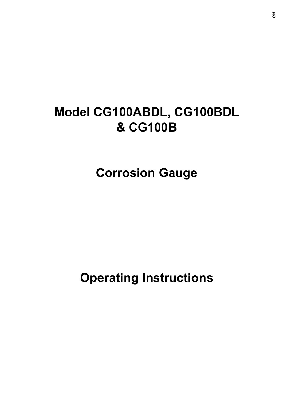# **Model CG100ABDL, CG100BDL & CG100B**

**Corrosion Gauge**

**Operating Instructions**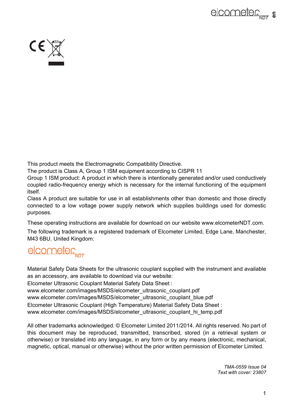



This product meets the Electromagnetic Compatibility Directive.

The product is Class A, Group 1 ISM equipment according to CISPR 11

Group 1 ISM product: A product in which there is intentionally generated and/or used conductively coupled radio-frequency energy which is necessary for the internal functioning of the equipment itself.

Class A product are suitable for use in all establishments other than domestic and those directly connected to a low voltage power supply network which supplies buildings used for domestic purposes.

These operating instructions are available for download on our website www.elcometerNDT.com.

The following trademark is a registered trademark of Elcometer Limited, Edge Lane, Manchester, M43 6BU. United Kingdom:

# elcometer

Material Safety Data Sheets for the ultrasonic couplant supplied with the instrument and available as an accessory, are available to download via our website:

Elcometer Ultrasonic Couplant Material Safety Data Sheet :

www.elcometer.com/images/MSDS/elcometer\_ultrasonic\_couplant.pdf

www.elcometer.com/images/MSDS/elcometer\_ultrasonic\_couplant\_blue.pdf

Elcometer Ultrasonic Couplant (High Temperature) Material Safety Data Sheet :

www.elcometer.com/images/MSDS/elcometer\_ultrasonic\_couplant\_hi\_temp.pdf

All other trademarks acknowledged. © Elcometer Limited 2011/2014. All rights reserved. No part of this document may be reproduced, transmitted, transcribed, stored (in a retrieval system or otherwise) or translated into any language, in any form or by any means (electronic, mechanical, magnetic, optical, manual or otherwise) without the prior written permission of Elcometer Limited.

> *TMA-0559 Issue 04 Text with cover: 23807*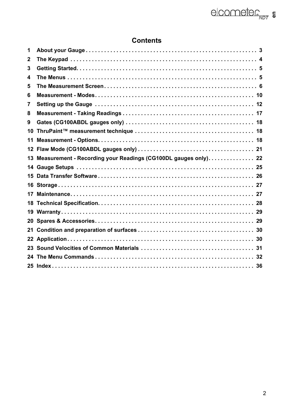# **Contents**

| 1   |                                                                   |  |
|-----|-------------------------------------------------------------------|--|
| 2   |                                                                   |  |
| 3   |                                                                   |  |
| 4   |                                                                   |  |
| 5   |                                                                   |  |
| 6   |                                                                   |  |
| 7   |                                                                   |  |
| 8   |                                                                   |  |
| 9   |                                                                   |  |
| 10  |                                                                   |  |
| 11  |                                                                   |  |
|     |                                                                   |  |
|     | 13 Measurement - Recording your Readings (CG100DL gauges only) 22 |  |
|     |                                                                   |  |
|     |                                                                   |  |
| 15. |                                                                   |  |
|     |                                                                   |  |
| 17  |                                                                   |  |
| 18  |                                                                   |  |
|     |                                                                   |  |
|     |                                                                   |  |
|     |                                                                   |  |
|     |                                                                   |  |
|     |                                                                   |  |
|     |                                                                   |  |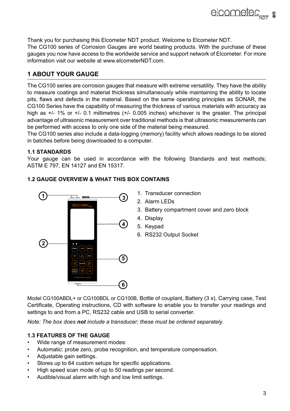Thank you for purchasing this Elcometer NDT product. Welcome to Elcometer NDT. The CG100 series of Corrosion Gauges are world beating products. With the purchase of these gauges you now have access to the worldwide service and support network of Elcometer. For more information visit our website at [www.elcometerNDT.com.](http://www.elcometer.com)

# **1 ABOUT YOUR GAUGE**

The CG100 series are corrosion gauges that measure with extreme versatility. They have the ability to measure coatings and material thickness simultaneously while maintaining the ability to locate pits, flaws and defects in the material. Based on the same operating principles as SONAR, the CG100 Series have the capability of measuring the thickness of various materials with accuracy as high as  $+/- 1\%$  or  $+/- 0.1$  millimetres  $(+/- 0.005$  inches) whichever is the greater. The principal advantage of ultrasonic measurement over traditional methods is that ultrasonic measurements can be performed with access to only one side of the material being measured.

The CG100 series also include a data-logging (memory) facility which allows readings to be stored in batches before being downloaded to a computer.

#### **1.1 STANDARDS**

Your gauge can be used in accordance with the following Standards and test methods; ASTM E 797, EN 14127 and EN 15317.

# **1.2 GAUGE OVERVIEW & WHAT THIS BOX CONTAINS**



- 1. Transducer connection
- 2. Alarm LEDs
- 3. Battery compartment cover and zero block
- 4. Display
- 5. Keypad
- 6. RS232 Output Socket

Model CG100ABDL+ or CG100BDL or CG100B. Bottle of couplant, Battery (3 x), Carrying case, Test Certificate, Operating instructions, CD with software to enable you to transfer your readings and settings to and from a PC, RS232 cable and USB to serial converter.

*Note: The box does not include a transducer; these must be ordered separately.* 

### **1.3 FEATURES OF THE GAUGE**

- Wide range of measurement modes:
- Automatic: probe zero, probe recognition, and temperature compensation.
- Adjustable gain settings.
- Stores up to 64 custom setups for specific applications.
- High speed scan mode of up to 50 readings per second.
- Audible/visual alarm with high and low limit settings.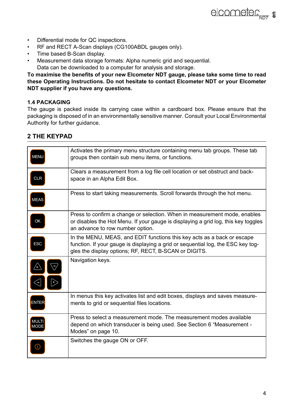- Differential mode for QC inspections.
- RF and RECT A-Scan displays (CG100ABDL gauges only).
- Time based B-Scan display.
- Measurement data storage formats: Alpha numeric grid and sequential. Data can be downloaded to a computer for analysis and storage.

**To maximise the benefits of your new Elcometer NDT gauge, please take some time to read these Operating Instructions. Do not hesitate to contact Elcometer NDT or your Elcometer NDT supplier if you have any questions.**

#### **1.4 PACKAGING**

The gauge is packed inside its carrying case within a cardboard box. Please ensure that the packaging is disposed of in an environmentally sensitive manner. Consult your Local Environmental Authority for further guidance.

# **2 THE KEYPAD**

| MENU                        | Activates the primary menu structure containing menu tab groups. These tab<br>groups then contain sub menu items, or functions.                                                                                      |
|-----------------------------|----------------------------------------------------------------------------------------------------------------------------------------------------------------------------------------------------------------------|
|                             |                                                                                                                                                                                                                      |
| <b>CLR</b>                  | Clears a measurement from a log file cell location or set obstruct and back-<br>space in an Alpha Edit Box.                                                                                                          |
| <b>MEAS</b>                 | Press to start taking measurements. Scroll forwards through the hot menu.                                                                                                                                            |
| OK                          | Press to confirm a change or selection. When in measurement mode, enables<br>or disables the Hot Menu. If your gauge is displaying a grid log, this key toggles<br>an advance to row number option.                  |
| <b>ESC</b>                  | In the MENU, MEAS, and EDIT functions this key acts as a back or escape<br>function. If your gauge is displaying a grid or sequential log, the ESC key tog-<br>gles the display options; RF, RECT, B-SCAN or DIGITS. |
|                             | Navigation keys.                                                                                                                                                                                                     |
| <b>ENTER</b>                | In menus this key activates list and edit boxes, displays and saves measure-<br>ments to grid or sequential files locations.                                                                                         |
| <b>MULTI</b><br><b>MODE</b> | Press to select a measurement mode. The measurement modes available<br>depend on which transducer is being used. See Section 6 "Measurement -<br>Modes" on page 10.                                                  |
|                             | Switches the gauge ON or OFF.                                                                                                                                                                                        |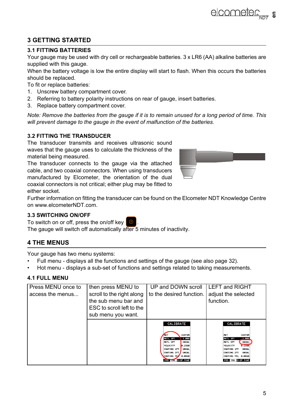# **3 GETTING STARTED**

#### **3.1 FITTING BATTERIES**

Your gauge may be used with dry cell or rechargeable batteries. 3 x LR6 (AA) alkaline batteries are supplied with this gauge.

When the battery voltage is low the entire display will start to flash. When this occurs the batteries should be replaced.

To fit or replace batteries:

- 1. Unscrew battery compartment cover.
- 2. Referring to battery polarity instructions on rear of gauge, insert batteries.
- 3. Replace battery compartment cover.

*Note: Remove the batteries from the gauge if it is to remain unused for a long period of time. This will prevent damage to the gauge in the event of malfunction of the batteries.*

#### **3.2 FITTING THE TRANSDUCER**

The transducer transmits and receives ultrasonic sound waves that the gauge uses to calculate the thickness of the material being measured.

The transducer connects to the gauge via the attached cable, and two coaxial connectors. When using transducers manufactured by Elcometer, the orientation of the dual coaxial connectors is not critical; either plug may be fitted to either socket.

Further information on fitting the transducer can be found on the Elcometer NDT Knowledge Centre on www.elcometerNDT.com.

### **3.3 SWITCHING ON/OFF**

To switch on or off, press the on/off key .

The gauge will switch off automatically after 5 minutes of inactivity.

# **4 THE MENUS**

Your gauge has two menu systems:

- Full menu displays all the functions and settings of the gauge (see also page 32).
- Hot menu displays a sub-set of functions and settings related to taking measurements.

### **4.1 FULL MENU**

| Press MENU once to | then press MENU to                                                                                   | UP and DOWN scroll                                                                                                                                                                                                                    | <b>ILEFT and RIGHT</b>                                                                                                                                                                                                   |
|--------------------|------------------------------------------------------------------------------------------------------|---------------------------------------------------------------------------------------------------------------------------------------------------------------------------------------------------------------------------------------|--------------------------------------------------------------------------------------------------------------------------------------------------------------------------------------------------------------------------|
| access the menus   | scroll to the right along<br>the sub menu bar and<br>ESC to scroll left to the<br>sub menu you want. | to the desired function.                                                                                                                                                                                                              | adjust the selected<br>function.                                                                                                                                                                                         |
|                    |                                                                                                      | CALIBRATE<br><b>CUSTOM</b><br><b>THAT</b><br>MATL 1PT<br>1.000<br>MATL 2PT<br><b>UNCAL</b><br>0.2330<br>VELOCITY<br>CORTING 1PT<br><b>UNCAL</b><br>CORTING 2PT<br><b>UNCAL</b><br>CORTING VEL<br>0.0850<br><b>PRIS WILL BLSP TUNE</b> | CALIBRATE<br><b>CUSTOM</b><br><b>HAT</b><br><b>MATL IPT</b><br>1.000<br>MATL 2PT<br><b>UNCAL</b><br><b>VELOCITY</b><br>0.2330<br>CORTING 1PT<br>UNCAL<br>CORTING 2PT<br>UNCAL<br>CORTING VEL 0.0850<br>PRB CAL DISP TUNE |



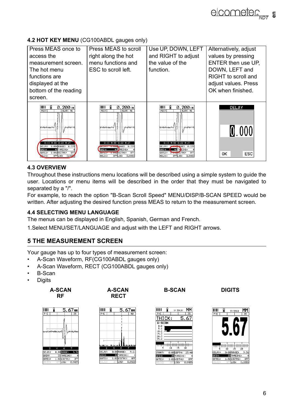# **4.2 HOT KEY MENU** (CG100ABDL gauges only)

| Press MEAS once to<br>access the<br>measurement screen.<br>The hot menu<br>functions are<br>displayed at the<br>bottom of the reading<br>screen.                                                                                                    | Press MEAS to scroll<br>right along the hot<br>menu functions and<br>ESC to scroll left.                                                                                                                                                               | Use UP, DOWN, LEFT<br>and RIGHT to adjust<br>the value of the<br>function.                                                                                                                                                             | Alternatively, adjust<br>values by pressing<br>ENTER then use UP.<br>DOWN, LEFT and<br>RIGHT to scroll and<br>adjust values. Press<br>OK when finished |
|-----------------------------------------------------------------------------------------------------------------------------------------------------------------------------------------------------------------------------------------------------|--------------------------------------------------------------------------------------------------------------------------------------------------------------------------------------------------------------------------------------------------------|----------------------------------------------------------------------------------------------------------------------------------------------------------------------------------------------------------------------------------------|--------------------------------------------------------------------------------------------------------------------------------------------------------|
| liitii<br>$0.200$ IN<br>$ALAR$ $46$<br>PECT<br><b>Investment</b><br><b>Josephusevice</b><br>8.18<br>$0.22$ $0.27$<br>DEL AV:<br>0.086 RANGE:<br>8,229<br>THRESH1:<br><b>GATN:</b><br>46<br>A. A4ANTDTH11<br>OFF<br>98TF1:<br>OFFLOS: CLOSE<br>OLD1: | liiii<br>0.2001N<br>PECT<br>$ALAR$ 46<br><b>Modernment</b><br><b>Josephuse AV</b><br>0.13 0.18 0.22 0.27<br>PANGE:<br>9.225<br><b>SAME TOO THE ACEADOR</b><br>46 THRESH1<br>GAIN:<br>OFF<br><b>NETHER REPORTED THE</b><br>OFFILOG:<br>CLOSED<br>HOLD1: | liitii<br>0.2001N<br>PECT<br><b>ALAR</b> 46<br><b>Montpolesworks</b><br><b>Josephusenet</b><br>$0.18$ $0.22$ $0.27$<br><b>9-806 RO</b> NGE :<br>0.229<br><b>STITH ESH1</b><br>OFF<br><b>CHOMODTH1:</b><br>OFFILOB:<br>CLOSED<br>HOLD1: | DELAY<br>0.000<br>0K<br>ESC                                                                                                                            |

### **4.3 OVERVIEW**

Throughout these instructions menu locations will be described using a simple system to guide the user. Locations or menu items will be described in the order that they must be navigated to separated by a "/".

For example, to reach the option "B-Scan Scroll Speed" MENU/DISP/B-SCAN SPEED would be written. After adjusting the desired function press MEAS to return to the measurement screen.

#### **4.4 SELECTING MENU LANGUAGE**

The menus can be displayed in English, Spanish, German and French.

1.Select MENU/SET/LANGUAGE and adjust with the LEFT and RIGHT arrows.

# <span id="page-6-0"></span>**5 THE MEASUREMENT SCREEN**

Your gauge has up to four types of measurement screen:

- A-Scan Waveform, RF(CG100ABDL gauges only)
- A-Scan Waveform, RECT (CG100ABDL gauges only)
- B-Scan
- **Digits**

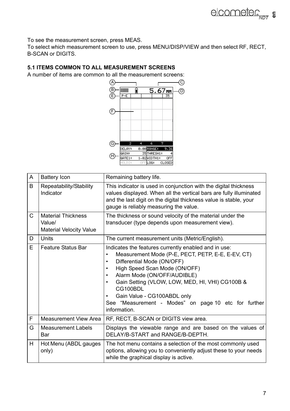To see the measurement screen, press MEAS.

To select which measurement screen to use, press MENU/DISP/VIEW and then select RF, RECT, B-SCAN or DIGITS.

# **5.1 ITEMS COMMON TO ALL MEASUREMENT SCREENS**

A number of items are common to all the measurement screens:



| A            | Battery Icon                                                          | Remaining battery life.                                                                                                                                                                                                                                                                                                                                                                 |
|--------------|-----------------------------------------------------------------------|-----------------------------------------------------------------------------------------------------------------------------------------------------------------------------------------------------------------------------------------------------------------------------------------------------------------------------------------------------------------------------------------|
| B            | Repeatability/Stability<br>Indicator                                  | This indicator is used in conjunction with the digital thickness<br>values displayed. When all the vertical bars are fully illuminated<br>and the last digit on the digital thickness value is stable, your<br>gauge is reliably measuring the value.                                                                                                                                   |
| $\mathsf{C}$ | <b>Material Thickness</b><br>Value/<br><b>Material Velocity Value</b> | The thickness or sound velocity of the material under the<br>transducer (type depends upon measurement view).                                                                                                                                                                                                                                                                           |
| D            | <b>Units</b>                                                          | The current measurement units (Metric/English).                                                                                                                                                                                                                                                                                                                                         |
| E.           | Feature Status Bar                                                    | Indicates the features currently enabled and in use:<br>Measurement Mode (P-E, PECT, PETP, E-E, E-EV, CT)<br>٠<br>Differential Mode (ON/OFF)<br>High Speed Scan Mode (ON/OFF)<br>Alarm Mode (ON/OFF/AUDIBLE)<br>٠<br>Gain Setting (VLOW, LOW, MED, HI, VHI) CG100B &<br>CG100BDL<br>Gain Value - CG100ABDL only<br>See "Measurement - Modes" on page 10 etc for further<br>information. |
| F            | Measurement View Area                                                 | RF, RECT, B-SCAN or DIGITS view area.                                                                                                                                                                                                                                                                                                                                                   |
| G            | <b>Measurement Labels</b><br>Bar                                      | Displays the viewable range and are based on the values of<br>DELAY/B-START and RANGE/B-DEPTH.                                                                                                                                                                                                                                                                                          |
| H.           | Hot Menu (ABDL gauges<br>only)                                        | The hot menu contains a selection of the most commonly used<br>options, allowing you to conveniently adjust these to your needs<br>while the graphical display is active.                                                                                                                                                                                                               |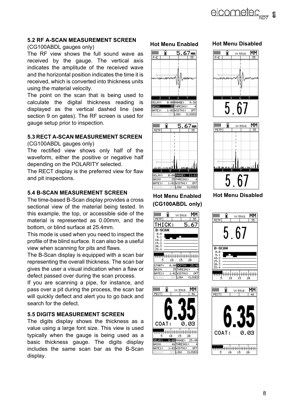#### **5.2 RF A-SCAN MEASUREMENT SCREEN**

#### (CG100ABDL gauges only)

The RF view shows the full sound wave as received by the gauge. The vertical axis indicates the amplitude of the received wave and the horizontal position indicates the time it is received, which is converted into thickness units using the material velocity.

The point on the scan that is being used to calculate the digital thickness reading is displayed as the vertical dashed line (see section 9 on gates). The RF screen is used for gauge setup prior to inspection.

#### **5.3 RECT A-SCAN MEASUREMENT SCREEN**

(CG100ABDL gauges only)

The rectified view shows only half of the waveform, either the positive or negative half depending on the POLARITY selected.

The RECT display is the preferred view for flaw and pit inspections.

#### **5.4 B-SCAN MEASUREMENT SCREEN**

The time-based B-Scan display provides a cross sectional view of the material being tested. In this example, the top, or accessible side of the material is represented as 0.00mm, and the bottom, or blind surface at 25.4mm.

This mode is used when you need to inspect the profile of the blind surface. It can also be a useful view when scanning for pits and flaws.

The B-Scan display is equipped with a scan bar representing the overall thickness. The scan bar gives the user a visual indication when a flaw or defect passed over during the scan process.

If you are scanning a pipe, for instance, and pass over a pit during the process, the scan bar will quickly deflect and alert you to go back and search for the defect.

#### **5.5 DIGITS MEASUREMENT SCREEN**

The digits display shows the thickness as a value using a large font size. This view is used typically when the gauge is being used as a basic thickness gauge. The digits display includes the same scan bar as the B-Scan display.





# **Hot Menu Enabled Hot Menu Disabled (CG100ABDL only)**





#### **Hot Menu Enabled Hot Menu Disabled**





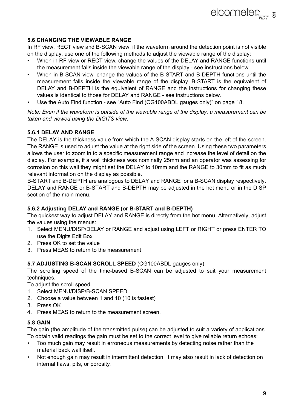#### **5.6 CHANGING THE VIEWABLE RANGE**

In RF view, RECT view and B-SCAN view, if the waveform around the detection point is not visible on the display, use one of the following methods to adjust the viewable range of the display:

- When in RF view or RECT view, change the values of the DELAY and RANGE functions until the measurement falls inside the viewable range of the display - see instructions below.
- When in B-SCAN view, change the values of the B-START and B-DEPTH functions until the measurement falls inside the viewable range of the display. B-START is the equivalent of DELAY and B-DEPTH is the equivalent of RANGE and the instructions for changing these values is identical to those for DELAY and RANGE - see instructions below.
- Use the Auto Find function see ["Auto Find \(CG100ABDL gauges only\)" on page 18](#page-18-0).

*Note: Even if the waveform is outside of the viewable range of the display, a measurement can be taken and viewed using the DIGITS view.*

#### **5.6.1 DELAY AND RANGE**

The DELAY is the thickness value from which the A-SCAN display starts on the left of the screen. The RANGE is used to adjust the value at the right side of the screen. Using these two parameters allows the user to zoom in to a specific measurement range and increase the level of detail on the display. For example, if a wall thickness was nominally 25mm and an operator was assessing for corrosion on this wall they might set the DELAY to 10mm and the RANGE to 30mm to fit as much relevant information on the display as possible.

B-START and B-DEPTH are analogous to DELAY and RANGE for a B-SCAN display respectively. DELAY and RANGE or B-START and B-DEPTH may be adjusted in the hot menu or in the DISP section of the main menu.

#### **5.6.2 Adjusting DELAY and RANGE (or B-START and B-DEPTH)**

The quickest way to adjust DELAY and RANGE is directly from the hot menu. Alternatively, adjust the values using the menus:

- 1. Select MENU/DISP/DELAY or RANGE and adjust using LEFT or RIGHT or press ENTER TO use the Digits Edit Box
- 2. Press OK to set the value
- 3. Press MEAS to return to the measurement

#### **5.7 ADJUSTING B-SCAN SCROLL SPEED** (CG100ABDL gauges only)

The scrolling speed of the time-based B-SCAN can be adjusted to suit your measurement techniques.

To adjust the scroll speed

- 1. Select MENU/DISP/B-SCAN SPEED
- 2. Choose a value between 1 and 10 (10 is fastest)
- 3. Press OK
- 4. Press MEAS to return to the measurement screen.

#### **5.8 GAIN**

The gain (the amplitude of the transmitted pulse) can be adjusted to suit a variety of applications. To obtain valid readings the gain must be set to the correct level to give reliable return echoes:

- Too much gain may result in erroneous measurements by detecting noise rather than the material back wall itself.
- Not enough gain may result in intermittent detection. It may also result in lack of detection on internal flaws, pits, or porosity.

**elcometer**<sub>NDT</sub> **a**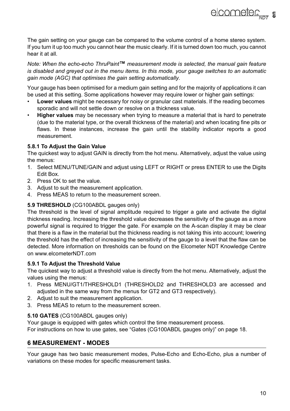elcometer<sub>sin</sub>, s

The gain setting on your gauge can be compared to the volume control of a home stereo system. If you turn it up too much you cannot hear the music clearly. If it is turned down too much, you cannot hear it at all.

*Note: When the echo-echo ThruPaint***™** *measurement mode is selected, the manual gain feature is disabled and greyed out in the menu items. In this mode, your gauge switches to an automatic gain mode (AGC) that optimises the gain setting automatically.*

Your gauge has been optimised for a medium gain setting and for the majority of applications it can be used at this setting. Some applications however may require lower or higher gain settings:

- **Lower values** might be necessary for noisy or granular cast materials. If the reading becomes sporadic and will not settle down or resolve on a thickness value.
- **Higher values** may be necessary when trying to measure a material that is hard to penetrate (due to the material type, or the overall thickness of the material) and when locating fine pits or flaws. In these instances, increase the gain until the stability indicator reports a good measurement.

#### **5.8.1 To Adjust the Gain Value**

The quickest way to adjust GAIN is directly from the hot menu. Alternatively, adjust the value using the menus:

- 1. Select MENU/TUNE/GAIN and adjust using LEFT or RIGHT or press ENTER to use the Digits Edit Box.
- 2. Press OK to set the value.
- 3. Adjust to suit the measurement application.
- 4. Press MEAS to return to the measurement screen.

#### **5.9 THRESHOLD** (CG100ABDL gauges only)

The threshold is the level of signal amplitude required to trigger a gate and activate the digital thickness reading. Increasing the threshold value decreases the sensitivity of the gauge as a more powerful signal is required to trigger the gate. For example on the A-scan display it may be clear that there is a flaw in the material but the thickness reading is not taking this into account; lowering the threshold has the effect of increasing the sensitivity of the gauge to a level that the flaw can be detected. More information on thresholds can be found on the Elcometer NDT Knowledge Centre on www.elcometerNDT.com

#### **5.9.1 To Adjust the Threshold Value**

The quickest way to adjust a threshold value is directly from the hot menu. Alternatively, adjust the values using the menus:

- 1. Press MENU/GT1/THRESHOLD1 (THRESHOLD2 and THRESHOLD3 are accessed and adjusted in the same way from the menus for GT2 and GT3 respectively).
- 2. Adjust to suit the measurement application.
- 3. Press MEAS to return to the measurement screen.

#### **5.10 GATES** (CG100ABDL gauges only)

Your gauge is equipped with gates which control the time measurement process.

For instructions on how to use gates, see ["Gates \(CG100ABDL gauges only\)" on page 18.](#page-18-1)

# <span id="page-10-0"></span>**6 MEASUREMENT - MODES**

Your gauge has two basic measurement modes, Pulse-Echo and Echo-Echo, plus a number of variations on these modes for specific measurement tasks.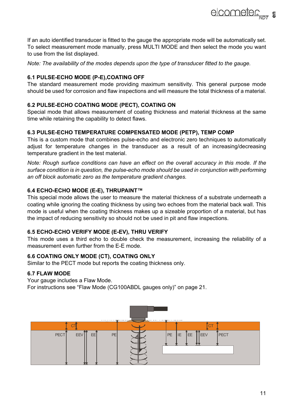If an auto identified transducer is fitted to the gauge the appropriate mode will be automatically set. To select measurement mode manually, press MULTI MODE and then select the mode you want to use from the list displayed.

*Note: The availability of the modes depends upon the type of transducer fitted to the gauge.*

#### **6.1 PULSE-ECHO MODE (P-E),COATING OFF**

The standard measurement mode providing maximum sensitivity. This general purpose mode should be used for corrosion and flaw inspections and will measure the total thickness of a material.

#### **6.2 PULSE-ECHO COATING MODE (PECT), COATING ON**

Special mode that allows measurement of coating thickness and material thickness at the same time while retaining the capability to detect flaws.

#### **6.3 PULSE-ECHO TEMPERATURE COMPENSATED MODE (PETP), TEMP COMP**

This is a custom mode that combines pulse-echo and electronic zero techniques to automatically adjust for temperature changes in the transducer as a result of an increasing/decreasing temperature gradient in the test material.

*Note: Rough surface conditions can have an effect on the overall accuracy in this mode. If the surface condition is in question, the pulse-echo mode should be used in conjunction with performing an off block automatic zero as the temperature gradient changes.*

#### **6.4 ECHO-ECHO MODE (E-E), THRUPAINT™**

This special mode allows the user to measure the material thickness of a substrate underneath a coating while ignoring the coating thickness by using two echoes from the material back wall. This mode is useful when the coating thickness makes up a sizeable proportion of a material, but has the impact of reducing sensitivity so should not be used in pit and flaw inspections.

#### **6.5 ECHO-ECHO VERIFY MODE (E-EV), THRU VERIFY**

This mode uses a third echo to double check the measurement, increasing the reliability of a measurement even further from the E-E mode.

#### **6.6 COATING ONLY MODE (CT), COATING ONLY**

Similar to the PECT mode but reports the coating thickness only.

#### **6.7 FLAW MODE**

Your gauge includes a Flaw Mode.

For instructions see ["Flaw Mode \(CG100ABDL gauges only\)" on page 21](#page-21-0).



elcometer<sub>sin</sub>, s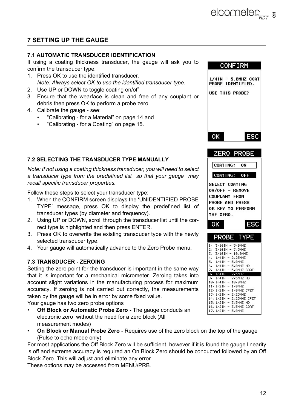# **7 SETTING UP THE GAUGE**

#### **7.1 AUTOMATIC TRANSDUCER IDENTIFICATION**

If using a coating thickness transducer, the gauge will ask you to confirm the transducer type.

- 1. Press OK to use the identified transducer. *Note: Always select OK to use the identified transducer type.*
- 2. Use UP or DOWN to toggle coating on/off
- 3. Ensure that the wearface is clean and free of any couplant or debris then press OK to perform a probe zero.
- 4. Calibrate the gauge see:
	- • ["Calibrating for a Material" on page 14](#page-14-0) and
	- • ["Calibrating for a Coating" on page 15.](#page-15-0)

#### <span id="page-12-0"></span>**7.2 SELECTING THE TRANSDUCER TYPE MANUALLY**

*Note: If not using a coating thickness transducer, you will need to select a transducer type from the predefined list so that your gauge may recall specific transducer properties.*

Follow these steps to select your transducer type:

- 1. When the CONFIRM screen displays the 'UNIDENTIFIED PROBE TYPE' message, press OK to display the predefined list of transducer types (by diameter and frequency).
- 2. Using UP or DOWN, scroll through the transducer list until the correct type is highlighted and then press ENTER.
- 3. Press OK to overwrite the existing transducer type with the newly selected transducer type.
- 4. Your gauge will automatically advance to the Zero Probe menu.

#### <span id="page-12-1"></span>**7.3 TRANSDUCER - ZEROING**

Setting the zero point for the transducer is important in the same way that it is important for a mechanical micrometer. Zeroing takes into account slight variations in the manufacturing process for maximum accuracy. If zeroing is not carried out correctly, the measurements taken by the gauge will be in error by some fixed value.

Your gauge has two zero probe options

- **Off Block or Automatic Probe Zero -** The gauge conducts an electronic zero without the need for a zero block (All measurement modes)
- **On Block or Manual Probe Zero** Requires use of the zero block on the top of the gauge (Pulse to echo mode only)

For most applications the Off Block Zero will be sufficient, however if it is found the gauge linearity is off and extreme accuracy is required an On Block Zero should be conducted followed by an Off Block Zero. This will adjust and eliminate any error.

These options may be accessed from MENU/PRB.

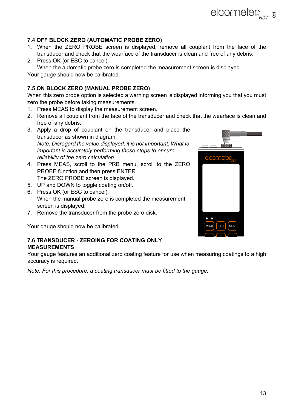# **7.4 OFF BLOCK ZERO (AUTOMATIC PROBE ZERO)**

- 1. When the ZERO PROBE screen is displayed, remove all couplant from the face of the transducer and check that the wearface of the transducer is clean and free of any debris.
- 2. Press OK (or ESC to cancel). When the automatic probe zero is completed the measurement screen is displayed. Your gauge should now be calibrated.

# **7.5 ON BLOCK ZERO (MANUAL PROBE ZERO)**

When this zero probe option is selected a warning screen is displayed informing you that you must zero the probe before taking measurements.

- 1. Press MEAS to display the measurement screen.
- 2. Remove all couplant from the face of the transducer and check that the wearface is clean and free of any debris.
- 3. Apply a drop of couplant on the transducer and place the transducer as shown in diagram. *Note: Disregard the value displayed; it is not important. What is important is accurately performing these steps to ensure reliability of the zero calculation.*
- 4. Press MEAS, scroll to the PRB menu, scroll to the ZERO PROBE function and then press ENTER. The ZERO PROBE screen is displayed.
- 5. UP and DOWN to toggle coating on/off.
- 6. Press OK (or ESC to cancel). When the manual probe zero is completed the measurement screen is displayed.
- 7. Remove the transducer from the probe zero disk.

Your gauge should now be calibrated.

#### <span id="page-13-0"></span>**7.6 TRANSDUCER - ZEROING FOR COATING ONLY MEASUREMENTS**

Your gauge features an additional zero coating feature for use when measuring coatings to a high accuracy is required.

*Note: For this procedure, a coating transducer must be fitted to the gauge.*



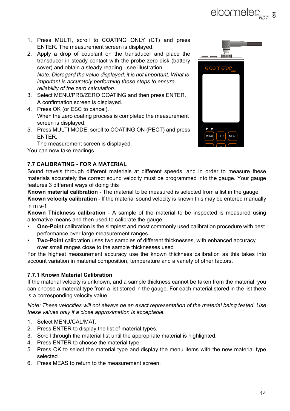- **elcometer**<sub>sint</sub> **s**
- 1. Press MULTI, scroll to COATING ONLY (CT) and press ENTER. The measurement screen is displayed.
- 2. Apply a drop of couplant on the transducer and place the transducer in steady contact with the probe zero disk (battery cover) and obtain a steady reading - see illustration. *Note: Disregard the value displayed; it is not important. What is important is accurately performing these steps to ensure reliability of the zero calculation.*
- 3. Select MENU/PRB/ZERO COATING and then press ENTER. A confirmation screen is displayed.
- 4. Press OK (or ESC to cancel). When the zero coating process is completed the measurement screen is displayed.
- 5. Press MULTI MODE, scroll to COATING ON (PECT) and press ENTER.

The measurement screen is displayed.

You can now take readings.

# <span id="page-14-0"></span>**7.7 CALIBRATING - FOR A MATERIAL**

Sound travels through different materials at different speeds, and in order to measure these materials accurately the correct sound velocity must be programmed into the gauge. Your gauge features 3 different ways of doing this

**Known material calibration** - The material to be measured is selected from a list in the gauge **Known velocity calibration** - If the material sound velocity is known this may be entered manually in m s-1

**Known Thickness calibration** - A sample of the material to be inspected is measured using alternative means and then used to calibrate the gauge.

- **One-Point** calibration is the simplest and most commonly used calibration procedure with best performance over large measurement ranges
- **Two-Point** calibration uses two samples of different thicknesses, with enhanced accuracy over small ranges close to the sample thicknesses used

For the highest measurement accuracy use the known thickness calibration as this takes into account variation in material composition, temperature and a variety of other factors.

### **7.7.1 Known Material Calibration**

If the material velocity is unknown, and a sample thickness cannot be taken from the material, you can choose a material type from a list stored in the gauge. For each material stored in the list there is a corresponding velocity value.

*Note: These velocities will not always be an exact representation of the material being tested. Use these values only if a close approximation is acceptable.* 

- 1. Select MENU/CAL/MAT.
- 2. Press ENTER to display the list of material types.
- 3. Scroll through the material list until the appropriate material is highlighted.
- 4. Press ENTER to choose the material type.
- 5. Press OK to select the material type and display the menu items with the new material type selected
- 6. Press MEAS to return to the measurement screen.

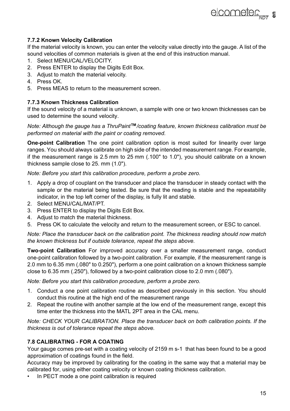#### **7.7.2 Known Velocity Calibration**

If the material velocity is known, you can enter the velocity value directly into the gauge. A list of the sound velocities of common materials is given at the end of this instruction manual.

- 1. Select MENU/CAL/VELOCITY.
- 2. Press ENTER to display the Digits Edit Box.
- 3. Adjust to match the material velocity.
- 4. Press OK.
- 5. Press MEAS to return to the measurement screen.

#### **7.7.3 Known Thickness Calibration**

If the sound velocity of a material is unknown, a sample with one or two known thicknesses can be used to determine the sound velocity.

*Note: Although the gauge has a ThruPaint***™***/coating feature, known thickness calibration must be performed on material with the paint or coating removed.*

**One-point Calibration** The one point calibration option is most suited for linearity over large ranges. You should always calibrate on high side of the intended measurement range. For example, if the measurement range is 2.5 mm to 25 mm (.100" to 1.0"), you should calibrate on a known thickness sample close to 25. mm (1.0").

*Note: Before you start this calibration procedure, perform a probe zero.*

- 1. Apply a drop of couplant on the transducer and place the transducer in steady contact with the sample or the material being tested. Be sure that the reading is stable and the repeatability indicator, in the top left corner of the display, is fully lit and stable.
- 2. Select MENU/CAL/MAT/PT.
- 3. Press ENTER to display the Digits Edit Box.
- 4. Adjust to match the material thickness.
- 5. Press OK to calculate the velocity and return to the measurement screen, or ESC to cancel.

*Note: Place the transducer back on the calibration point. The thickness reading should now match the known thickness but if outside tolerance, repeat the steps above.*

**Two-point Calibration** For improved accuracy over a smaller measurement range, conduct one-point calibration followed by a two-point calibration. For example, if the measurement range is 2.0 mm to 6.35 mm (.080" to 0.250"), perform a one point calibration on a known thickness sample close to 6.35 mm (.250"), followed by a two-point calibration close to 2.0 mm (.080").

*Note: Before you start this calibration procedure, perform a probe zero.*

- 1. Conduct a one point calibration routine as described previously in this section. You should conduct this routine at the high end of the measurement range
- 2. Repeat the routine with another sample at the low end of the measurement range, except this time enter the thickness into the MATL 2PT area in the CAL menu.

*Note: CHECK YOUR CALIBRATION. Place the transducer back on both calibration points. If the thickness is out of tolerance repeat the steps above.*

### <span id="page-15-0"></span>**7.8 CALIBRATING - FOR A COATING**

Your gauge comes pre-set with a coating velocity of 2159 m s-1 that has been found to be a good approximation of coatings found in the field.

Accuracy may be improved by calibrating for the coating in the same way that a material may be calibrated for, using either coating velocity or known coating thickness calibration.

In PECT mode a one point calibration is required

**elcometer**<sub>NDT</sub> **s**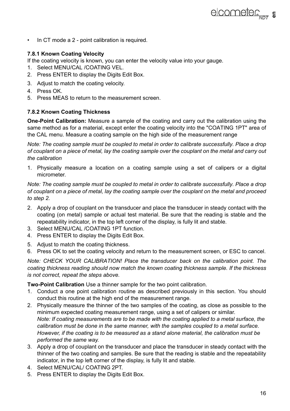• In CT mode a 2 - point calibration is required.

#### **7.8.1 Known Coating Velocity**

If the coating velocity is known, you can enter the velocity value into your gauge.

- 1. Select MENU/CAL /COATING VEL.
- 2. Press ENTER to display the Digits Edit Box.
- 3. Adjust to match the coating velocity.
- 4. Press OK.
- 5. Press MEAS to return to the measurement screen.

#### **7.8.2 Known Coating Thickness**

**One-Point Calibration:** Measure a sample of the coating and carry out the calibration using the same method as for a material, except enter the coating velocity into the "COATING 1PT" area of the CAL menu. Measure a coating sample on the high side of the measurement range

*Note: The coating sample must be coupled to metal in order to calibrate successfully. Place a drop of couplant on a piece of metal, lay the coating sample over the couplant on the metal and carry out the calibration*

1. Physically measure a location on a coating sample using a set of calipers or a digital micrometer.

*Note: The coating sample must be coupled to metal in order to calibrate successfully. Place a drop of couplant on a piece of metal, lay the coating sample over the couplant on the metal and proceed to step 2.*

- 2. Apply a drop of couplant on the transducer and place the transducer in steady contact with the coating (on metal) sample or actual test material. Be sure that the reading is stable and the repeatability indicator, in the top left corner of the display, is fully lit and stable.
- 3. Select MENU/CAL /COATING 1PT function.
- 4. Press ENTER to display the Digits Edit Box.
- 5. Adjust to match the coating thickness.
- 6. Press OK to set the coating velocity and return to the measurement screen, or ESC to cancel.

*Note: CHECK YOUR CALIBRATION! Place the transducer back on the calibration point. The coating thickness reading should now match the known coating thickness sample. If the thickness is not correct, repeat the steps above.*

**Two-Point Calibration** Use a thinner sample for the two point calibration.

- 1. Conduct a one point calibration routine as described previously in this section. You should conduct this routine at the high end of the measurement range.
- 2. Physically measure the thinner of the two samples of the coating, as close as possible to the minimum expected coating measurement range, using a set of calipers or similar. *Note: If coating measurements are to be made with the coating applied to a metal surface, the calibration must be done in the same manner, with the samples coupled to a metal surface. However, if the coating is to be measured as a stand alone material, the calibration must be performed the same way.*
- 3. Apply a drop of couplant on the transducer and place the transducer in steady contact with the thinner of the two coating and samples. Be sure that the reading is stable and the repeatability indicator, in the top left corner of the display, is fully lit and stable.
- 4. Select MENU/CAL/ COATING 2PT.
- 5. Press ENTER to display the Digits Edit Box.

**elcometer**<sub>NDT</sub> **a**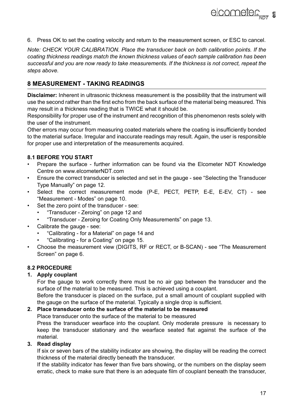6. Press OK to set the coating velocity and return to the measurement screen, or ESC to cancel.

*Note: CHECK YOUR CALIBRATION. Place the transducer back on both calibration points. If the coating thickness readings match the known thickness values of each sample calibration has been successful and you are now ready to take measurements. If the thickness is not correct, repeat the steps above.*

# **8 MEASUREMENT - TAKING READINGS**

**Disclaimer:** Inherent in ultrasonic thickness measurement is the possibility that the instrument will use the second rather than the first echo from the back surface of the material being measured. This may result in a thickness reading that is TWICE what it should be.

Responsibility for proper use of the instrument and recognition of this phenomenon rests solely with the user of the instrument.

Other errors may occur from measuring coated materials where the coating is insufficiently bonded to the material surface. Irregular and inaccurate readings may result. Again, the user is responsible for proper use and interpretation of the measurements acquired.

#### **8.1 BEFORE YOU START**

- Prepare the surface further information can be found via the Elcometer NDT Knowledge Centre on www.elcometerNDT.com
- Ensure the correct transducer is selected and set in the gauge see ["Selecting the Transducer](#page-12-0) [Type Manually" on page 12](#page-12-0).
- Select the correct measurement mode (P-E, PECT, PETP, E-E, E-EV, CT) see ["Measurement - Modes" on page 10](#page-10-0).
- Set the zero point of the transducer see:
	- • ["Transducer Zeroing" on page 12](#page-12-1) and
	- • ["Transducer Zeroing for Coating Only Measurements" on page 13.](#page-13-0)
- Calibrate the gauge see:
	- • ["Calibrating for a Material" on page 14](#page-14-0) and
	- • ["Calibrating for a Coating" on page 15.](#page-15-0)
- Choose the measurement view (DIGITS, RF or RECT, or B-SCAN) see ["The Measurement](#page-6-0) [Screen" on page 6.](#page-6-0)

#### **8.2 PROCEDURE**

#### **1. Apply couplant**

For the gauge to work correctly there must be no air gap between the transducer and the surface of the material to be measured. This is achieved using a couplant.

Before the transducer is placed on the surface, put a small amount of couplant supplied with the gauge on the surface of the material. Typically a single drop is sufficient.

#### **2. Place transducer onto the surface of the material to be measured**

Place transducer onto the surface of the material to be measured Press the transducer wearface into the couplant. Only moderate pressure is necessary to keep the transducer stationary and the wearface seated flat against the surface of the material.

#### **3. Read display**

If six or seven bars of the stability indicator are showing, the display will be reading the correct thickness of the material directly beneath the transducer.

If the stability indicator has fewer than five bars showing, or the numbers on the display seem erratic, check to make sure that there is an adequate film of couplant beneath the transducer,

elcometer<sub>sin</sub>, s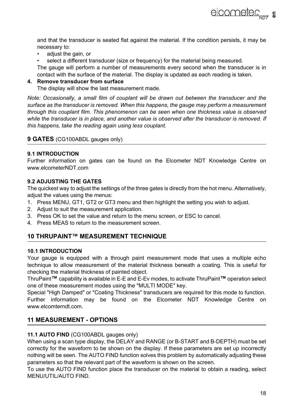**elcometer**<sub>NDT</sub> **a** 

and that the transducer is seated flat against the material. If the condition persists, it may be necessary to:

- adjust the gain, or
- select a different transducer (size or frequency) for the material being measured.

The gauge will perform a number of measurements every second when the transducer is in contact with the surface of the material. The display is updated as each reading is taken.

#### **4. Remove transducer from surface**

The display will show the last measurement made.

*Note: Occasionally, a small film of couplant will be drawn out between the transducer and the surface as the transducer is removed. When this happens, the gauge may perform a measurement through this couplant film. This phenomenon can be seen when one thickness value is observed while the transducer is in place, and another value is observed after the transducer is removed. If this happens, take the reading again using less couplant.*

#### <span id="page-18-1"></span>**9 GATES** (CG100ABDL gauges only)

#### **9.1 INTRODUCTION**

Further information on gates can be found on the Elcometer NDT Knowledge Centre on www.elcometerNDT.com

#### **9.2 ADJUSTING THE GATES**

The quickest way to adjust the settings of the three gates is directly from the hot menu. Alternatively, adiust the values using the menus:

- 1. Press MENU, GT1, GT2 or GT3 menu and then highlight the setting you wish to adjust.
- 2. Adjust to suit the measurement application.
- 3. Press OK to set the value and return to the menu screen, or ESC to cancel.
- 4. Press MEAS to return to the measurement screen.

### **10 THRUPAINT™ MEASUREMENT TECHNIQUE**

#### **10.1 INTRODUCTION**

Your gauge is equipped with a through paint measurement mode that uses a multiple echo technique to allow measurement of the material thickness beneath a coating. This is useful for checking the material thickness of painted object.

ThruPaint**™** capability is available in E-E and E-Ev modes, to activate ThruPaint**™** operation select one of these measurement modes using the "MULTI MODE" key.

Special "High Damped" or "Coating Thickness" transducers are required for this mode to function. Further information may be found on the Elcometer NDT Knowledge Centre on www.elcomterndt.com.

### **11 MEASUREMENT - OPTIONS**

#### <span id="page-18-0"></span>**11.1 AUTO FIND** (CG100ABDL gauges only)

When using a scan type display, the DELAY and RANGE (or B-START and B-DEPTH) must be set correctly for the waveform to be shown on the display. If these parameters are set up incorrectly nothing will be seen. The AUTO FIND function solves this problem by automatically adjusting these parameters so that the relevant part of the waveform is shown on the screen.

To use the AUTO FIND function place the transducer on the material to obtain a reading, select MENU/UTIL/AUTO FIND.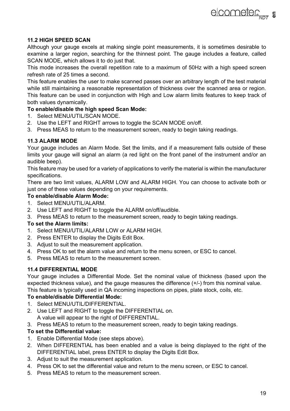#### **11.2 HIGH SPEED SCAN**

Although your gauge excels at making single point measurements, it is sometimes desirable to examine a larger region, searching for the thinnest point. The gauge includes a feature, called SCAN MODE, which allows it to do just that.

This mode increases the overall repetition rate to a maximum of 50Hz with a high speed screen refresh rate of 25 times a second.

This feature enables the user to make scanned passes over an arbitrary length of the test material while still maintaining a reasonable representation of thickness over the scanned area or region. This feature can be used in conjunction with High and Low alarm limits features to keep track of

#### both values dynamically.

#### **To enable/disable the high speed Scan Mode:**

- 1. Select MENU/UTIL/SCAN MODE.
- 2. Use the LEFT and RIGHT arrows to toggle the SCAN MODE on/off.
- 3. Press MEAS to return to the measurement screen, ready to begin taking readings.

#### **11.3 ALARM MODE**

Your gauge includes an Alarm Mode. Set the limits, and if a measurement falls outside of these limits your gauge will signal an alarm (a red light on the front panel of the instrument and/or an audible beep).

This feature may be used for a variety of applications to verify the material is within the manufacturer specifications.

There are two limit values, ALARM LOW and ALARM HIGH. You can choose to activate both or just one of these values depending on your requirements.

#### **To enable/disable Alarm Mode:**

- 1. Select MENU/UTIL/ALARM.
- 2. Use LEFT and RIGHT to toggle the ALARM on/off/audible.
- 3. Press MEAS to return to the measurement screen, ready to begin taking readings.

#### **To set the Alarm limits:**

- 1. Select MENU/UTIL/ALARM LOW or ALARM HIGH.
- 2. Press ENTER to display the Digits Edit Box.
- 3. Adjust to suit the measurement application.
- 4. Press OK to set the alarm value and return to the menu screen, or ESC to cancel.
- 5. Press MEAS to return to the measurement screen.

#### **11.4 DIFFERENTIAL MODE**

Your gauge includes a Differential Mode. Set the nominal value of thickness (based upon the expected thickness value), and the gauge measures the difference (+/-) from this nominal value. This feature is typically used in QA incoming inspections on pipes, plate stock, coils, etc.

#### **To enable/disable Differential Mode:**

- 1. Select MENU/UTIL/DIFFERENTIAL.
- 2. Use LEFT and RIGHT to toggle the DIFFERENTIAL on.
	- A value will appear to the right of DIFFERENTIAL.
- 3. Press MEAS to return to the measurement screen, ready to begin taking readings.

#### **To set the Differential value:**

- 1. Enable Differential Mode (see steps above).
- 2. When DIFFERENTIAL has been enabled and a value is being displayed to the right of the DIFFERENTIAL label, press ENTER to display the Digits Edit Box.
- 3. Adjust to suit the measurement application.
- 4. Press OK to set the differential value and return to the menu screen, or ESC to cancel.
- 5. Press MEAS to return to the measurement screen.

elcometer<sub>Nnt</sub> =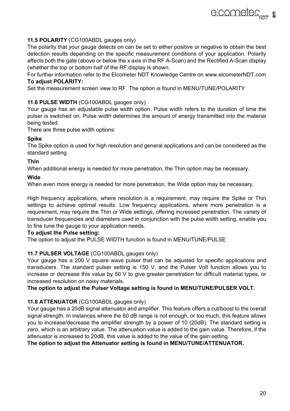#### **11.5 POLARITY** (CG100ABDL gauges only)

The polarity that your gauge detects on can be set to either positive or negative to obtain the best detection results depending on the specific measurement conditions of your application. Polarity affects both the gate (above or below the x axis in the RF A-Scan) and the Rectified A-Scan display (whether the top or bottom half of the RF display is shown.

For further information refer to the Elcometer NDT Knowledge Centre on www.elcometerNDT.com **To adjust POLARITY:**

Set the measurement screen view to RF. The option is found in MFNU/TUNF/POLARITY

#### **11.6 PULSE WIDTH** (CG100ABDL gauges only)

Your gauge has an adjustable pulse width option. Pulse width refers to the duration of time the pulser is switched on. Pulse width determines the amount of energy transmitted into the material being tested.

There are three pulse width options:

#### **Spike**

The Spike option is used for high resolution and general applications and can be considered as the standard setting.

#### **Thin**

When additional energy is needed for more penetration, the Thin option may be necessary.

#### **Wide**

When even more energy is needed for more penetration, the Wide option may be necessary.

High frequency applications, where resolution is a requirement, may require the Spike or Thin settings to achieve optimal results. Low frequency applications, where more penetration is a requirement, may require the Thin or Wide settings, offering increased penetration. The variety of transducer frequencies and diameters used in conjunction with the pulse width setting, enable you to fine tune the gauge to your application needs.

#### **To adjust the Pulse setting:**

The option to adjust the PULSE WIDTH function is found in MENU/TUNE/PULSE

#### **11.7 PULSER VOLTAGE** (CG100ABDL gauges only)

Your gauge has a 200 V square wave pulser that can be adjusted for specific applications and transducers. The standard pulser setting is 150 V, and the Pulser Volt function allows you to increase or decrease this value by 50 V to give greater penetration for difficult material types, or increased resolution on noisy materials.

#### **The option to adjust the Pulser Voltage setting is found in MENU/TUNE/PULSER VOLT.**

#### **11.8 ATTENUATOR** (CG100ABDL gauges only)

Your gauge has a 20dB signal attenuator and amplifier. This feature offers a cut/boost to the overall signal strength. In instances where the 60 dB range is not enough, or too much, this feature allows you to increase/decrease the amplifier strength by a power of 10 (20dB). The standard setting is zero, which is an arbitrary value. The attenuation value is added to the gain value. Therefore, if the attenuator is increased to 20dB, this value is added to the value of the gain setting.

**The option to adjust the Attenuator setting is found in MENU/TUNE/ATTENUATOR.**

**elcometer**<sub>NDT</sub> **s**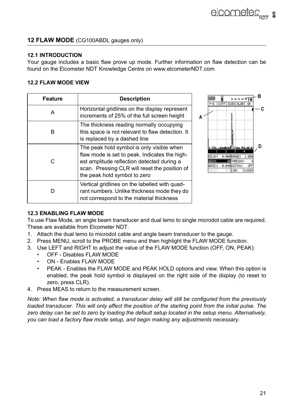# <span id="page-21-0"></span>**12 FLAW MODE** (CG100ABDL gauges only)

#### **12.1 INTRODUCTION**

Your gauge includes a basic flaw prove up mode. Further information on flaw detection can be found on the Elcometer NDT Knowledge Centre on www.elcometerNDT.com

#### **12.2 FLAW MODE VIEW**

| <b>Feature</b> | <b>Description</b>                                                                                                                                                                                                        |   |
|----------------|---------------------------------------------------------------------------------------------------------------------------------------------------------------------------------------------------------------------------|---|
| А              | Horizontal gridlines on the display represent<br>increments of 25% of the full screen height                                                                                                                              | А |
| B              | The thickness reading normally occupying<br>this space is not relevant to flaw detection. It<br>is replaced by a dashed line                                                                                              |   |
| C              | The peak hold symbol is only visible when<br>flaw mode is set to peak. Indicates the high-<br>est amplitude reflection detected during a<br>scan. Pressing CLR will reset the position of<br>the peak hold symbol to zero |   |
|                | Vertical gridlines on the labelled with quad-<br>rant numbers. Unlike thickness mode they do<br>not correspond to the material thickness                                                                                  |   |



# **12.3 ENABLING FLAW MODE**

To use Flaw Mode, an angle beam transducer and dual lemo to single microdot cable are required. These are available from Elcometer NDT.

- 1. Attach the dual lemo to microdot cable and angle beam transducer to the gauge.
- 2. Press MENU, scroll to the PROBE menu and then highlight the FLAW MODE function.
- 3. Use LEFT and RIGHT to adjust the value of the FLAW MODE function (OFF, ON, PEAK):
	- OFF Disables FLAW MODE
	- ON Enables FLAW MODE
	- PEAK Enables the FLAW MODE and PEAK HOLD options and view. When this option is enabled, the peak hold symbol is displayed on the right side of the display (to reset to zero, press CLR).
- 4. Press MEAS to return to the measurement screen.

*Note: When flaw mode is activated, a transducer delay will still be configured from the previously loaded transducer. This will only affect the position of the starting point from the initial pulse. The zero delay can be set to zero by loading the default setup located in the setup menu. Alternatively, you can load a factory flaw mode setup, and begin making any adjustments necessary.*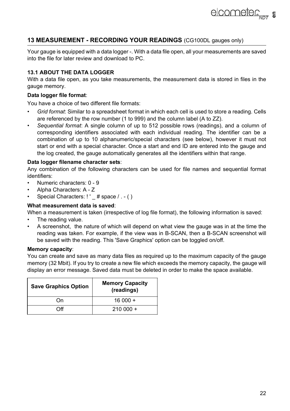# **13 MEASUREMENT - RECORDING YOUR READINGS** (CG100DL gauges only)

Your gauge is equipped with a data logger -. With a data file open, all your measurements are saved into the file for later review and download to PC.

# **13.1 ABOUT THE DATA LOGGER**

With a data file open, as you take measurements, the measurement data is stored in files in the gauge memory.

#### **Data logger file format**:

You have a choice of two different file formats:

- *Grid format*: Similar to a spreadsheet format in which each cell is used to store a reading. Cells are referenced by the row number (1 to 999) and the column label (A to ZZ).
- *Sequential format*: A single column of up to 512 possible rows (readings), and a column of corresponding identifiers associated with each individual reading. The identifier can be a combination of up to 10 alphanumeric/special characters (see below), however it must not start or end with a special character. Once a start and end ID are entered into the gauge and the log created, the gauge automatically generates all the identifiers within that range.

#### **Data logger filename character sets**:

Any combination of the following characters can be used for file names and sequential format identifiers:

- Numeric characters: 0 9
- Alpha Characters: A Z
- Special Characters: ! ' # space / . ( )

#### **What measurement data is saved**:

When a measurement is taken (irrespective of log file format), the following information is saved:

- The reading value.
- A screenshot, the nature of which will depend on what view the gauge was in at the time the reading was taken. For example, if the view was in B-SCAN, then a B-SCAN screenshot will be saved with the reading. This 'Save Graphics' option can be toggled on/off.

#### **Memory capacity**:

You can create and save as many data files as required up to the maximum capacity of the gauge memory (32 Mbit). If you try to create a new file which exceeds the memory capacity, the gauge will display an error message. Saved data must be deleted in order to make the space available.

| <b>Save Graphics Option</b> | <b>Memory Capacity</b><br>(readings) |
|-----------------------------|--------------------------------------|
| Ωn                          | $16000 +$                            |
| ገff                         | $210000 +$                           |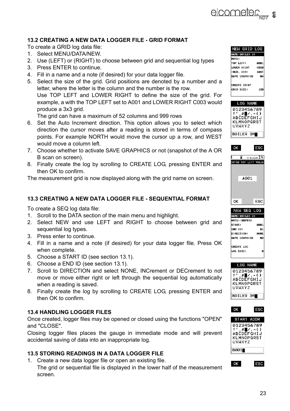

#### <span id="page-23-0"></span>**13.2 CREATING A NEW DATA LOGGER FILE - GRID FORMAT**

To create a GRID log data file:

- 1. Select MENU/DATA/NEW.
- 2. Use (LEFT) or (RIGHT) to choose between grid and sequential log types
- 3. Press ENTER to continue.
- 4. Fill in a name and a note (if desired) for your data logger file.
- 5. Select the size of the grid. Grid positions are denoted by a number and a letter, where the letter is the column and the number is the row. Use TOP LEFT and LOWER RIGHT to define the size of the grid. For example, a with the TOP LEFT set to A001 and LOWER RIGHT C003 would produce a 3x3 grid.

The grid can have a maximum of 52 columns and 999 rows

- 6. Set the Auto Increment direction. This option allows you to select which direction the cursor moves after a reading is stored in terms of compass points. For example NORTH would move the cursor up a row, and WEST would move a column left.
- 7. Choose whether to activate SAVE GRAPHICS or not (snapshot of the A OR B scan on screen).
- 8. Finally create the log by scrolling to CREATE LOG, pressing ENTER and then OK to confirm.

The measurement grid is now displayed along with the grid name on screen.

#### **13.3 CREATING A NEW DATA LOGGER FILE - SEQUENTIAL FORMAT**

To create a SEQ log data file:

- 1. Scroll to the DATA section of the main menu and highlight.
- 2. Select NEW and use LEFT and RIGHT to choose between grid and sequential log types.
- 3. Press enter to continue.
- 4. Fill in a name and a note (if desired) for your data logger file. Press OK when complete.
- 5. Choose a START ID (see section 13.1).
- 6. Choose a END ID (see section 13.1).
- 7. Scroll to DIRECTION and select NONE, INCrement or DECrement to not move or move either right or left through the sequential log automatically when a reading is saved.
- 8. Finally create the log by scrolling to CREATE LOG, pressing ENTER and then OK to confirm.

#### **13.4 HANDLING LOGGER FILES**

Once created, logger files may be opened or closed using the functions "OPEN" and "CLOSE".

Closing logger files places the gauge in immediate mode and will prevent accidental saving of data into an inappropriate log.

#### **13.5 STORING READINGS IN A DATA LOGGER FILE**

1. Create a new data logger file or open an existing file.

The grid or sequential file is displayed in the lower half of the measurement screen.

| NEW GRID LOG    |             |
|-----------------|-------------|
| NAME: BOILER 34 |             |
| <b>NOTE:</b>    |             |
| TOP LFFT:       | 6981        |
| LOWER RIGHT     | <b>CA50</b> |
| INCR. DIR:      | EAST        |
| SAVE GRAPHICS   | N0          |
|                 |             |
| CREATE GRID?    |             |
| GRID SIZE:      | 150         |
|                 |             |
|                 |             |







CREATE LOG LOG SIZE:

| ок                                                                       | ⊨sc |
|--------------------------------------------------------------------------|-----|
| START ADDR                                                               |     |
| 0123456789<br>$\#$ $\angle$ . - ()<br>ABCDEFGHIJ<br>KLMNOPORST<br>UVWXYZ |     |
| B001∎                                                                    |     |

OK

**ESC**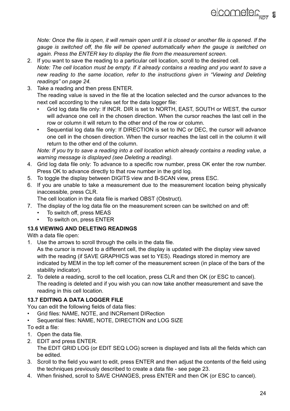*Note: Once the file is open, it will remain open until it is closed or another file is opened. If the gauge is switched off, the file will be opened automatically when the gauge is switched on again. Press the ENTER key to display the file from the measurement screen.*

- 2. If you want to save the reading to a particular cell location, scroll to the desired cell. *Note: The cell location must be empty. If it already contains a reading and you want to save a new reading to the same location, refer to the instructions given in ["Viewing and Deleting](#page-24-0) [readings" on page 24](#page-24-0).*
- 3. Take a reading and then press ENTER.

The reading value is saved in the file at the location selected and the cursor advances to the next cell according to the rules set for the data logger file:

- Grid log data file only: If INCR. DIR is set to NORTH, EAST, SOUTH or WEST, the cursor will advance one cell in the chosen direction. When the cursor reaches the last cell in the row or column it will return to the other end of the row or column.
- Sequential log data file only: If DIRECTION is set to INC or DEC, the cursor will advance one cell in the chosen direction. When the cursor reaches the last cell in the column it will return to the other end of the column.

*Note: If you try to save a reading into a cell location which already contains a reading value, a warning message is displayed (see Deleting a reading).*

- 4. Grid log data file only: To advance to a specific row number, press OK enter the row number. Press OK to advance directly to that row number in the grid log.
- 5. To toggle the display between DIGITS view and B-SCAN view, press ESC.
- 6. If you are unable to take a measurement due to the measurement location being physically inaccessible, press CLR.

The cell location in the data file is marked OBST (Obstruct).

- 7. The display of the log data file on the measurement screen can be switched on and off:
	- To switch off, press MEAS
	- To switch on, press ENTER

# <span id="page-24-0"></span>**13.6 VIEWING AND DELETING READINGS**

With a data file open:

1. Use the arrows to scroll through the cells in the data file.

As the cursor is moved to a different cell, the display is updated with the display view saved with the reading (if SAVE GRAPHICS was set to YES). Readings stored in memory are indicated by MEM in the top left corner of the measurement screen (in place of the bars of the stability indicator).

2. To delete a reading, scroll to the cell location, press CLR and then OK (or ESC to cancel). The reading is deleted and if you wish you can now take another measurement and save the reading in this cell location.

# **13.7 EDITING A DATA LOGGER FILE**

You can edit the following fields of data files:

- Grid files: NAME, NOTE, and INCRement DIRection
- Sequential files: NAME, NOTE, DIRECTION and LOG SIZE
- To edit a file:
- 1. Open the data file.
- 2. EDIT and press ENTER. The EDIT GRID LOG (or EDIT SEQ LOG) screen is displayed and lists all the fields which can be edited.
- 3. Scroll to the field you want to edit, press ENTER and then adjust the contents of the field using the techniques previously described to create a data file - see [page 23](#page-23-0).
- 4. When finished, scroll to SAVE CHANGES, press ENTER and then OK (or ESC to cancel).

elcometer<sub>sin</sub>, s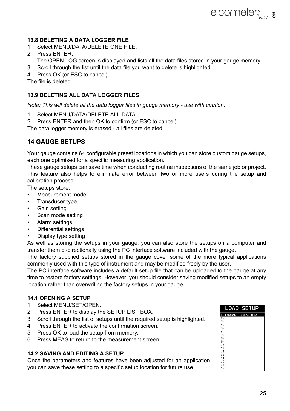#### **13.8 DELETING A DATA LOGGER FILE**

- 1. Select MENU/DATA/DELETE ONE FILE.
- 2. Press ENTER.
	- The OPEN LOG screen is displayed and lists all the data files stored in your gauge memory.
- 3. Scroll through the list until the data file you want to delete is highlighted.
- 4. Press OK (or ESC to cancel).

The file is deleted.

#### **13.9 DELETING ALL DATA LOGGER FILES**

*Note: This will delete all the data logger files in gauge memory - use with caution.*

- 1. Select MENU/DATA/DELETE ALL DATA.
- 2. Press ENTER and then OK to confirm (or ESC to cancel).

The data logger memory is erased - all files are deleted.

# **14 GAUGE SETUPS**

Your gauge contains 64 configurable preset locations in which you can store custom gauge setups, each one optimised for a specific measuring application.

These gauge setups can save time when conducting routine inspections of the same job or project. This feature also helps to eliminate error between two or more users during the setup and calibration process.

The setups store:

- Measurement mode
- Transducer type
- Gain setting
- Scan mode setting
- Alarm settings
- Differential settings
- Display type setting

As well as storing the setups in your gauge, you can also store the setups on a computer and transfer them bi-directionally using the PC interface software included with the gauge.

The factory supplied setups stored in the gauge cover some of the more typical applications commonly used with this type of instrument and may be modified freely by the user.

The PC interface software includes a default setup file that can be uploaded to the gauge at any time to restore factory settings. However, you should consider saving modified setups to an empty location rather than overwriting the factory setups in your gauge.

#### **14.1 OPENING A SETUP**

- 1. Select MENU/SET/OPEN.
- 2. Press ENTER to display the SETUP LIST BOX.
- 3. Scroll through the list of setups until the required setup is highlighted.
- 4. Press ENTER to activate the confirmation screen.
- 5. Press OK to load the setup from memory.
- 6. Press MEAS to return to the measurement screen.

#### **14.2 SAVING AND EDITING A SETUP**

Once the parameters and features have been adjusted for an application, you can save these setting to a specific setup location for future use.

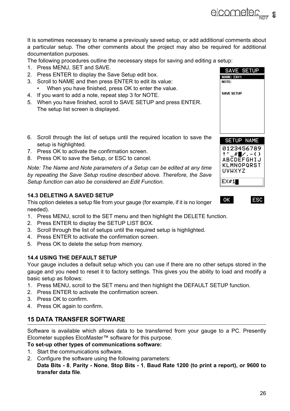It is sometimes necessary to rename a previously saved setup, or add additional comments about a particular setup. The other comments about the project may also be required for additional documentation purposes.

The following procedures outline the necessary steps for saving and editing a setup:

- 1. Press MENU, SET and SAVE.
- 2. Press ENTER to display the Save Setup edit box.
- 3. Scroll to NAME and then press ENTER to edit its value:
	- When you have finished, press OK to enter the value.
- 4. If you want to add a note, repeat step 3 for NOTE.
- 5. When you have finished, scroll to SAVE SETUP and press ENTER. The setup list screen is displayed.
- 6. Scroll through the list of setups until the required location to save the setup is highlighted.
- 7. Press OK to activate the confirmation screen.
- 8. Press OK to save the Setup, or ESC to cancel.

*Note: The Name and Note parameters of a Setup can be edited at any time by repeating the Save Setup routine described above. Therefore, the Save Setup function can also be considered an Edit Function.*

#### **14.3 DELETING A SAVED SETUP**

This option deletes a setup file from your gauge (for example, if it is no longer needed).

- 1. Press MENU, scroll to the SET menu and then highlight the DELETE function.
- 2. Press ENTER to display the SETUP LIST BOX.
- 3. Scroll through the list of setups until the required setup is highlighted.
- 4. Press ENTER to activate the confirmation screen.
- 5. Press OK to delete the setup from memory.

#### **14.4 USING THE DEFAULT SETUP**

Your gauge includes a default setup which you can use if there are no other setups stored in the gauge and you need to reset it to factory settings. This gives you the ability to load and modify a basic setup as follows:

- 1. Press MENU, scroll to the SET menu and then highlight the DEFAULT SETUP function.
- 2. Press ENTER to activate the confirmation screen.
- 3. Press OK to confirm.
- 4. Press OK again to confirm.

# **15 DATA TRANSFER SOFTWARE**

Software is available which allows data to be transferred from your gauge to a PC. Presently Elcometer supplies ElcoMaster™ software for this purpose.

#### **To set-up other types of communications software:**

- 1. Start the communications software.
- 2. Configure the software using the following parameters:

**Data Bits - 8**, **Parity - None**, **Stop Bits - 1**, **Baud Rate 1200 (to print a report), or 9600 to transfer data file**.

SAVE SETUP NAME: EX#1 NOTE: **SAVE SETUP SETUP NAME** 0123456789





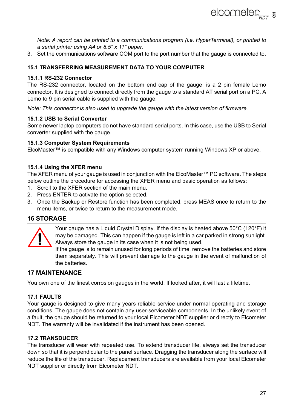

*Note: A report can be printed to a communications program (i.e. HyperTerminal), or printed to a serial printer using A4 or 8.5" x 11" paper.*

3. Set the communications software COM port to the port number that the gauge is connected to.

#### **15.1 TRANSFERRING MEASUREMENT DATA TO YOUR COMPUTER**

#### **15.1.1 RS-232 Connector**

The RS-232 connector, located on the bottom end cap of the gauge, is a 2 pin female Lemo connector. It is designed to connect directly from the gauge to a standard AT serial port on a PC. A Lemo to 9 pin serial cable is supplied with the gauge.

*Note: This connector is also used to upgrade the gauge with the latest version of firmware.*

#### **15.1.2 USB to Serial Converter**

Some newer laptop computers do not have standard serial ports. In this case, use the USB to Serial converter supplied with the gauge.

#### **15.1.3 Computer System Requirements**

ElcoMaster™ is compatible with any Windows computer system running Windows XP or above.

#### **15.1.4 Using the XFER menu**

The XFER menu of your gauge is used in conjunction with the ElcoMaster™ PC software. The steps below outline the procedure for accessing the XFER menu and basic operation as follows:

- 1. Scroll to the XFER section of the main menu.
- 2. Press ENTER to activate the option selected.
- 3. Once the Backup or Restore function has been completed, press MEAS once to return to the menu items, or twice to return to the measurement mode.

### **16 STORAGE**



Your gauge has a Liquid Crystal Display. If the display is heated above 50°C (120°F) it may be damaged. This can happen if the gauge is left in a car parked in strong sunlight. Always store the gauge in its case when it is not being used.

If the gauge is to remain unused for long periods of time, remove the batteries and store them separately. This will prevent damage to the gauge in the event of malfunction of the batteries.

# **17 MAINTENANCE**

You own one of the finest corrosion gauges in the world. If looked after, it will last a lifetime.

#### **17.1 FAULTS**

Your gauge is designed to give many years reliable service under normal operating and storage conditions. The gauge does not contain any user-serviceable components. In the unlikely event of a fault, the gauge should be returned to your local Elcometer NDT supplier or directly to Elcometer NDT. The warranty will be invalidated if the instrument has been opened.

### **17.2 TRANSDUCER**

The transducer will wear with repeated use. To extend transducer life, always set the transducer down so that it is perpendicular to the panel surface. Dragging the transducer along the surface will reduce the life of the transducer. Replacement transducers are available from your local Elcometer NDT supplier or directly from Elcometer NDT.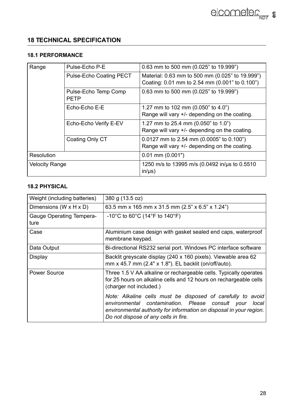# **18 TECHNICAL SPECIFICATION**

# **18.1 PERFORMANCE**

| Range                 | Pulse-Echo P-E          | 0.63 mm to 500 mm (0.025" to 19.999")                        |
|-----------------------|-------------------------|--------------------------------------------------------------|
|                       | Pulse-Echo Coating PECT | Material: 0.63 mm to 500 mm (0.025" to 19.999")              |
|                       |                         | Coating: 0.01 mm to 2.54 mm (0.001" to 0.100")               |
|                       | Pulse-Echo Temp Comp    | 0.63 mm to 500 mm (0.025" to 19.999")                        |
|                       | PFTP                    |                                                              |
|                       | Echo-Echo E-E           | 1.27 mm to 102 mm (0.050" to 4.0")                           |
|                       |                         | Range will vary +/- depending on the coating.                |
|                       | Echo-Echo Verify E-EV   | 1.27 mm to 25.4 mm (0.050" to 1.0")                          |
|                       |                         | Range will vary +/- depending on the coating.                |
|                       | Coating Only CT         | 0.0127 mm to 2.54 mm (0.0005" to 0.100")                     |
|                       |                         | Range will vary +/- depending on the coating.                |
| Resolution            |                         | $0.01$ mm $(0.001")$                                         |
| <b>Velocity Range</b> |                         | 1250 m/s to 13995 m/s (0.0492 in/us to 0.5510<br>$in/\mu s)$ |

# **18.2 PHYSICAL**

| Weight (including batteries)         | 380 g (13.5 oz)                                                                                                                                                                                                                            |
|--------------------------------------|--------------------------------------------------------------------------------------------------------------------------------------------------------------------------------------------------------------------------------------------|
| Dimensions (W $\times$ H $\times$ D) | 63.5 mm x 165 mm x 31.5 mm (2.5" x 6.5" x 1.24")                                                                                                                                                                                           |
| Gauge Operating Tempera-<br>ture     | $-10^{\circ}$ C to 60 $^{\circ}$ C (14 $^{\circ}$ F to 140 $^{\circ}$ F)                                                                                                                                                                   |
| Case                                 | Aluminium case design with gasket sealed end caps, waterproof<br>membrane keypad.                                                                                                                                                          |
| Data Output                          | Bi-directional RS232 serial port. Windows PC interface software                                                                                                                                                                            |
| Display                              | Backlit greyscale display (240 x 160 pixels). Viewable area 62<br>mm x 45.7 mm (2.4" x 1.8"). EL backlit (on/off/auto).                                                                                                                    |
| Power Source                         | Three 1.5 V AA alkaline or rechargeable cells. Typically operates<br>for 25 hours on alkaline cells and 12 hours on rechargeable cells<br>(charger not included.)                                                                          |
|                                      | Note: Alkaline cells must be disposed of carefully to avoid<br>environmental contamination. Please<br>consult vour<br>local<br>environmental authority for information on disposal in your region.<br>Do not dispose of any cells in fire. |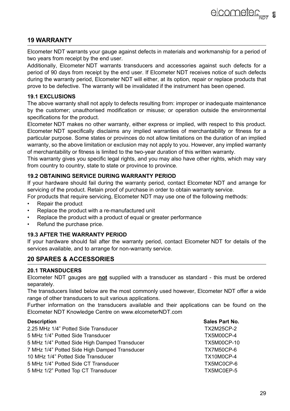# **19 WARRANTY**

Elcometer NDT warrants your gauge against defects in materials and workmanship for a period of two years from receipt by the end user.

Additionally, Elcometer NDT warrants transducers and accessories against such defects for a period of 90 days from receipt by the end user. If Elcometer NDT receives notice of such defects during the warranty period, Elcometer NDT will either, at its option, repair or replace products that prove to be defective. The warranty will be invalidated if the instrument has been opened.

#### **19.1 EXCLUSIONS**

The above warranty shall not apply to defects resulting from: improper or inadequate maintenance by the customer; unauthorised modification or misuse; or operation outside the environmental specifications for the product.

Elcometer NDT makes no other warranty, either express or implied, with respect to this product. Elcometer NDT specifically disclaims any implied warranties of merchantability or fitness for a particular purpose. Some states or provinces do not allow limitations on the duration of an implied warranty, so the above limitation or exclusion may not apply to you. However, any implied warranty of merchantability or fitness is limited to the two-year duration of this written warranty.

This warranty gives you specific legal rights, and you may also have other rights, which may vary from country to country, state to state or province to province.

#### **19.2 OBTAINING SERVICE DURING WARRANTY PERIOD**

If your hardware should fail during the warranty period, contact Elcometer NDT and arrange for servicing of the product. Retain proof of purchase in order to obtain warranty service.

For products that require servicing, Elcometer NDT may use one of the following methods:

- Repair the product
- Replace the product with a re-manufactured unit
- Replace the product with a product of equal or greater performance
- Refund the purchase price.

#### **19.3 AFTER THE WARRANTY PERIOD**

If your hardware should fail after the warranty period, contact Elcometer NDT for details of the services available, and to arrange for non-warranty service.

### **20 SPARES & ACCESSORIES**

#### **20.1 TRANSDUCERS**

Elcometer NDT gauges are **not** supplied with a transducer as standard - this must be ordered separately.

The transducers listed below are the most commonly used however, Elcometer NDT offer a wide range of other transducers to suit various applications.

Further information on the transducers available and their applications can be found on the Elcometer NDT Knowledge Centre on www.elcometerNDT.com

#### **Description Sales Part No. 2016**

| 2.25 MHz 1/4" Potted Side Transducer          | <b>TX2M25CP-2</b>  |
|-----------------------------------------------|--------------------|
| 5 MHz 1/4" Potted Side Transducer             | TX5M00CP-4         |
| 5 MHz 1/4" Potted Side High Damped Transducer | <b>TX5M00CP-10</b> |
| 7 MHz 1/4" Potted Side High Damped Transducer | <b>TX7M50CP-6</b>  |
| 10 MHz 1/4" Potted Side Transducer            | TX10M0CP-4         |
| 5 MHz 1/4" Potted Side CT Transducer          | TX5MC0CP-6         |
| 5 MHz 1/2" Potted Top CT Transducer           | TX5MC0EP-5         |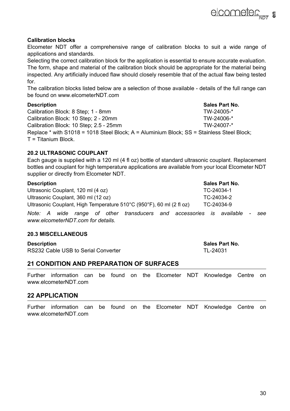#### **Calibration blocks**

Elcometer NDT offer a comprehensive range of calibration blocks to suit a wide range of applications and standards.

Selecting the correct calibration block for the application is essential to ensure accurate evaluation. The form, shape and material of the calibration block should be appropriate for the material being inspected. Any artificially induced flaw should closely resemble that of the actual flaw being tested for.

The calibration blocks listed below are a selection of those available - details of the full range can be found on www.elcometerNDT.com

#### **Description Sales Part No.**

Calibration Block: 8 Step: 1 - 8mm Calibration Block: 10 Step: 2 - 20mm TW-24006-\* Calibration Block: 10 Step; 2.5 - 25mm TW-24007-\* Replace \* with S1018 = 1018 Steel Block; A = Aluminium Block; SS = Stainless Steel Block; T = Titanium Block.

### **20.2 ULTRASONIC COUPLANT**

Each gauge is supplied with a 120 ml (4 fl oz) bottle of standard ultrasonic couplant. Replacement bottles and couplant for high temperature applications are available from your local Elcometer NDT supplier or directly from Elcometer NDT.

| <b>Description</b> | Sales Part No. |
|--------------------|----------------|
|                    |                |

Ultrasonic Couplant, 120 ml (4 oz) TC-24034-1 Ultrasonic Couplant, 360 ml (12 oz)  $TC-24034-2$ Ultrasonic Couplant, High Temperature 510°C (950°F), 60 ml (2 fl oz) TC-24034-9

*Note: A wide range of other transducers and accessories is available - see www.elcometerNDT.com for details.*

#### **20.3 MISCELLANEOUS**

**Description Contract Part No. 2012 12:33 Sales Part No.** RS232 Cable USB to Serial Converter TL-24031

# **21 CONDITION AND PREPARATION OF SURFACES**

Further information can be found on the Elcometer NDT Knowledge Centre on www.elcometerNDT.com

#### **22 APPLICATION**

Further information can be found on the Elcometer NDT Knowledge Centre on www.elcometerNDT.com

elcometer<sub>Nnt</sub> =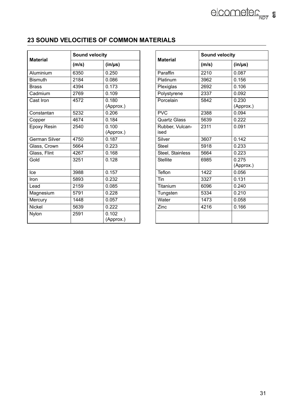# **23 SOUND VELOCITIES OF COMMON MATERIALS**

| <b>Material</b> | Sound velocity |                    | <b>Material</b>         | <b>Sound velocity</b> |                 |
|-----------------|----------------|--------------------|-------------------------|-----------------------|-----------------|
|                 | (m/s)          | $(in/\mu s)$       |                         | (m/s)                 | $(in/\mu s)$    |
| Aluminium       | 6350           | 0.250              | Paraffin                | 2210                  | 0.087           |
| <b>Bismuth</b>  | 2184           | 0.086              | Platinum                | 3962                  | 0.156           |
| <b>Brass</b>    | 4394           | 0.173              | Plexiglas               | 2692                  | 0.106           |
| Cadmium         | 2769           | 0.109              | Polystyrene             | 2337                  | 0.092           |
| Cast Iron       | 4572           | 0.180<br>(Approx.) | Porcelain               | 5842                  | 0.230<br>(Appro |
| Constantan      | 5232           | 0.206              | <b>PVC</b>              | 2388                  | 0.094           |
| Copper          | 4674           | 0.184              | Quartz Glass            | 5639                  | 0.222           |
| Epoxy Resin     | 2540           | 0.100<br>(Approx.) | Rubber, Vulcan-<br>ised | 2311                  | 0.091           |
| German Silver   | 4750           | 0.187              | Silver                  | 3607                  | 0.142           |
| Glass, Crown    | 5664           | 0.223              | Steel                   | 5918                  | 0.233           |
| Glass, Flint    | 4267           | 0.168              | Steel. Stainless        | 5664                  | 0.223           |
| Gold            | 3251           | 0.128              | <b>Stellite</b>         | 6985                  | 0.275<br>(Appro |
| Ice             | 3988           | 0.157              | Teflon                  | 1422                  | 0.056           |
| Iron            | 5893           | 0.232              | Tin                     | 3327                  | 0.131           |
| Lead            | 2159           | 0.085              | Titanium                | 6096                  | 0.240           |
| Magnesium       | 5791           | 0.228              | Tungsten                | 5334                  | 0.210           |
| Mercury         | 1448           | 0.057              | Water                   | 1473                  | 0.058           |
| Nickel          | 5639           | 0.222              | Zinc                    | 4216                  | 0.166           |
| Nylon           | 2591           | 0.102<br>(Approx.) |                         |                       |                 |

| Sound velocity    |                    | <b>Material</b>         | Sound velocity |                    |
|-------------------|--------------------|-------------------------|----------------|--------------------|
| (m/s)             | $(in/\mu s)$       |                         | (m/s)          | $(in/\mu s)$       |
| 6350              | 0.250              | Paraffin                | 2210           | 0.087              |
| 2184              | 0.086              | Platinum                | 3962           | 0.156              |
| 4394              | 0.173              | Plexiglas               | 2692           | 0.106              |
| 2769              | 0.109              | Polystyrene             | 2337           | 0.092              |
| 4572              | 0.180<br>(Approx.) | Porcelain               | 5842           | 0.230<br>(Approx.) |
| 5232              | 0.206              | <b>PVC</b>              | 2388           | 0.094              |
| 4674              | 0.184              | Quartz Glass            | 5639           | 0.222              |
| 2540              | 0.100<br>(Approx.) | Rubber, Vulcan-<br>ised | 2311           | 0.091              |
| 4750              | 0.187              | Silver                  | 3607           | 0.142              |
| 5664              | 0.223              | Steel                   | 5918           | 0.233              |
| 4267              | 0.168              | Steel, Stainless        | 5664           | 0.223              |
| $\overline{3}251$ | 0.128              | <b>Stellite</b>         | 6985           | 0.275<br>(Approx.) |
| 3988              | 0.157              | Teflon                  | 1422           | 0.056              |
| 5893              | 0.232              | Tin                     | 3327           | 0.131              |
| 2159              | 0.085              | Titanium                | 6096           | 0.240              |
| 5791              | 0.228              | Tungsten                | 5334           | 0.210              |
| 1448              | 0.057              | Water                   | 1473           | 0.058              |
| 5639              | 0.222              | Zinc                    | 4216           | 0.166              |
| 2591              | 0.102<br>(Approx.) |                         |                |                    |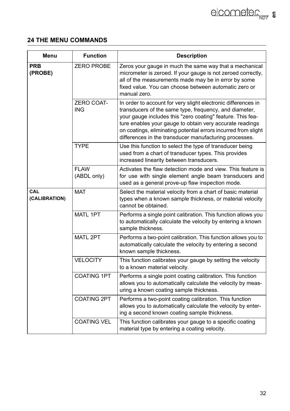# **24 THE MENU COMMANDS**

| Menu                        | <b>Function</b>            | <b>Description</b>                                                                                                                                                                                                                                                                                                                                                            |
|-----------------------------|----------------------------|-------------------------------------------------------------------------------------------------------------------------------------------------------------------------------------------------------------------------------------------------------------------------------------------------------------------------------------------------------------------------------|
| <b>PRB</b><br>(PROBE)       | <b>ZERO PROBE</b>          | Zeros your gauge in much the same way that a mechanical<br>micrometer is zeroed. If your gauge is not zeroed correctly,<br>all of the measurements made may be in error by some<br>fixed value. You can choose between automatic zero or<br>manual zero.                                                                                                                      |
|                             | <b>ZERO COAT-</b><br>ING   | In order to account for very slight electronic differences in<br>transducers of the same type, frequency, and diameter,<br>your gauge includes this "zero coating" feature. This fea-<br>ture enables your gauge to obtain very accurate readings<br>on coatings, eliminating potential errors incurred from slight<br>differences in the transducer manufacturing processes. |
|                             | <b>TYPE</b>                | Use this function to select the type of transducer being<br>used from a chart of transducer types. This provides<br>increased linearity between transducers.                                                                                                                                                                                                                  |
|                             | <b>FLAW</b><br>(ABDL only) | Activates the flaw detection mode and view. This feature is<br>for use with single element angle beam transducers and<br>used as a general prove-up flaw inspection mode.                                                                                                                                                                                                     |
| <b>CAL</b><br>(CALIBRATION) | <b>MAT</b>                 | Select the material velocity from a chart of basic material<br>types when a known sample thickness, or material velocity<br>cannot be obtained.                                                                                                                                                                                                                               |
|                             | MATL 1PT                   | Performs a single point calibration. This function allows you<br>to automatically calculate the velocity by entering a known<br>sample thickness.                                                                                                                                                                                                                             |
|                             | MATL 2PT                   | Performs a two-point calibration. This function allows you to<br>automatically calculate the velocity by entering a second<br>known sample thickness.                                                                                                                                                                                                                         |
|                             | <b>VELOCITY</b>            | This function calibrates your gauge by setting the velocity<br>to a known material velocity.                                                                                                                                                                                                                                                                                  |
|                             | <b>COATING 1PT</b>         | Performs a single point coating calibration. This function<br>allows you to automatically calculate the velocity by meas-<br>uring a known coating sample thickness.                                                                                                                                                                                                          |
|                             | <b>COATING 2PT</b>         | Performs a two-point coating calibration. This function<br>allows you to automatically calculate the velocity by enter-<br>ing a second known coating sample thickness.                                                                                                                                                                                                       |
|                             | <b>COATING VEL</b>         | This function calibrates your gauge to a specific coating<br>material type by entering a coating velocity.                                                                                                                                                                                                                                                                    |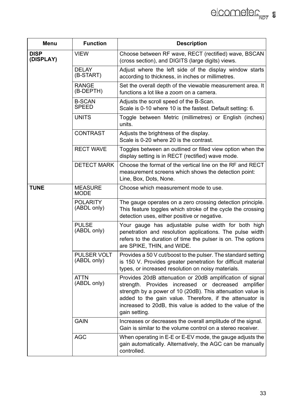| Menu                     | <b>Function</b>                   | <b>Description</b>                                                                                                                                                                                                                                                                                                         |
|--------------------------|-----------------------------------|----------------------------------------------------------------------------------------------------------------------------------------------------------------------------------------------------------------------------------------------------------------------------------------------------------------------------|
| <b>DISP</b><br>(DISPLAY) | <b>VIEW</b>                       | Choose between RF wave, RECT (rectified) wave, BSCAN<br>(cross section), and DIGITS (large digits) views.                                                                                                                                                                                                                  |
|                          | <b>DELAY</b><br>(B-START)         | Adjust where the left side of the display window starts<br>according to thickness, in inches or millimetres.                                                                                                                                                                                                               |
|                          | <b>RANGE</b><br>(B-DEPTH)         | Set the overall depth of the viewable measurement area. It<br>functions a lot like a zoom on a camera.                                                                                                                                                                                                                     |
|                          | <b>B-SCAN</b><br><b>SPEED</b>     | Adjusts the scroll speed of the B-Scan.<br>Scale is 0-10 where 10 is the fastest. Default setting: 6.                                                                                                                                                                                                                      |
|                          | <b>UNITS</b>                      | Toggle between Metric (millimetres) or English (inches)<br>units.                                                                                                                                                                                                                                                          |
|                          | <b>CONTRAST</b>                   | Adjusts the brightness of the display.<br>Scale is 0-20 where 20 is the contrast.                                                                                                                                                                                                                                          |
|                          | <b>RECT WAVE</b>                  | Toggles between an outlined or filled view option when the<br>display setting is in RECT (rectified) wave mode.                                                                                                                                                                                                            |
|                          | <b>DETECT MARK</b>                | Choose the format of the vertical line on the RF and RECT<br>measurement screens which shows the detection point:<br>Line, Box, Dots, None.                                                                                                                                                                                |
| <b>TUNE</b>              | <b>MEASURE</b><br><b>MODE</b>     | Choose which measurement mode to use.                                                                                                                                                                                                                                                                                      |
|                          | <b>POLARITY</b><br>(ABDL only)    | The gauge operates on a zero crossing detection principle.<br>This feature toggles which stroke of the cycle the crossing<br>detection uses, either positive or negative.                                                                                                                                                  |
|                          | <b>PULSE</b><br>(ABDL only)       | Your gauge has adjustable pulse width for both high<br>penetration and resolution applications. The pulse width<br>refers to the duration of time the pulser is on. The options<br>are SPIKE, THIN, and WIDE.                                                                                                              |
|                          | <b>PULSER VOLT</b><br>(ABDL only) | Provides a 50 V cut/boost to the pulser. The standard setting<br>is 150 V. Provides greater penetration for difficult material<br>types, or increased resolution on noisy materials.                                                                                                                                       |
|                          | <b>ATTN</b><br>(ABDL only)        | Provides 20dB attenuation or 20dB amplification of signal<br>strength. Provides increased or decreased amplifier<br>strength by a power of 10 (20dB). This attenuation value is<br>added to the gain value. Therefore, if the attenuator is<br>increased to 20dB, this value is added to the value of the<br>gain setting. |
|                          | <b>GAIN</b>                       | Increases or decreases the overall amplitude of the signal.<br>Gain is similar to the volume control on a stereo receiver.                                                                                                                                                                                                 |
|                          | <b>AGC</b>                        | When operating in E-E or E-EV mode, the gauge adjusts the<br>gain automatically. Alternatively, the AGC can be manually<br>controlled.                                                                                                                                                                                     |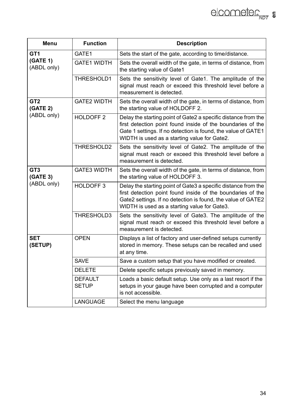| Menu                        | <b>Function</b>                | <b>Description</b>                                                                                                                                                                                                                             |
|-----------------------------|--------------------------------|------------------------------------------------------------------------------------------------------------------------------------------------------------------------------------------------------------------------------------------------|
| GT <sub>1</sub>             | GATE1                          | Sets the start of the gate, according to time/distance.                                                                                                                                                                                        |
| (GATE 1)<br>(ABDL only)     | <b>GATE1 WIDTH</b>             | Sets the overall width of the gate, in terms of distance, from<br>the starting value of Gate1                                                                                                                                                  |
|                             | THRESHOLD1                     | Sets the sensitivity level of Gate1. The amplitude of the<br>signal must reach or exceed this threshold level before a<br>measurement is detected.                                                                                             |
| GT <sub>2</sub><br>(GATE 2) | <b>GATE2 WIDTH</b>             | Sets the overall width of the gate, in terms of distance, from<br>the starting value of HOLDOFF 2.                                                                                                                                             |
| (ABDL only)                 | HOLDOFF <sub>2</sub>           | Delay the starting point of Gate2 a specific distance from the<br>first detection point found inside of the boundaries of the<br>Gate 1 settings. If no detection is found, the value of GATE1<br>WIDTH is used as a starting value for Gate2. |
|                             | THRESHOLD2                     | Sets the sensitivity level of Gate2. The amplitude of the<br>signal must reach or exceed this threshold level before a<br>measurement is detected.                                                                                             |
| GT <sub>3</sub><br>(GATE 3) | <b>GATE3 WIDTH</b>             | Sets the overall width of the gate, in terms of distance, from<br>the starting value of HOLDOFF 3.                                                                                                                                             |
| (ABDL only)                 | HOLDOFF <sub>3</sub>           | Delay the starting point of Gate3 a specific distance from the<br>first detection point found inside of the boundaries of the<br>Gate2 settings. If no detection is found, the value of GATE2<br>WIDTH is used as a starting value for Gate3.  |
|                             | THRESHOLD3                     | Sets the sensitivity level of Gate3. The amplitude of the<br>signal must reach or exceed this threshold level before a<br>measurement is detected.                                                                                             |
| <b>SET</b><br>(SETUP)       | <b>OPEN</b>                    | Displays a list of factory and user-defined setups currently<br>stored in memory. These setups can be recalled and used<br>at any time.                                                                                                        |
|                             | <b>SAVE</b>                    | Save a custom setup that you have modified or created.                                                                                                                                                                                         |
|                             | <b>DELETE</b>                  | Delete specific setups previously saved in memory.                                                                                                                                                                                             |
|                             | <b>DEFAULT</b><br><b>SETUP</b> | Loads a basic default setup. Use only as a last resort if the<br>setups in your gauge have been corrupted and a computer<br>is not accessible.                                                                                                 |
|                             | LANGUAGE                       | Select the menu language                                                                                                                                                                                                                       |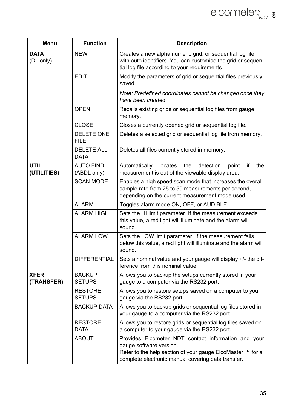| Menu                       | <b>Function</b>                  | <b>Description</b>                                                                                                                                                                                 |
|----------------------------|----------------------------------|----------------------------------------------------------------------------------------------------------------------------------------------------------------------------------------------------|
| <b>DATA</b><br>(DL only)   | <b>NEW</b>                       | Creates a new alpha numeric grid, or sequential log file<br>with auto identifiers. You can customise the grid or sequen-<br>tial log file according to your requirements.                          |
|                            | <b>EDIT</b>                      | Modify the parameters of grid or sequential files previously<br>saved.                                                                                                                             |
|                            |                                  | Note: Predefined coordinates cannot be changed once they<br>have been created.                                                                                                                     |
|                            | <b>OPEN</b>                      | Recalls existing grids or sequential log files from gauge<br>memory.                                                                                                                               |
|                            | CLOSE                            | Closes a currently opened grid or sequential log file.                                                                                                                                             |
|                            | <b>DELETE ONE</b><br><b>FILE</b> | Deletes a selected grid or sequential log file from memory.                                                                                                                                        |
|                            | <b>DELETE ALL</b><br>DATA        | Deletes all files currently stored in memory.                                                                                                                                                      |
| <b>UTIL</b><br>(UTILITIES) | AUTO FIND<br>(ABDL only)         | Automatically<br>detection<br>if<br>locates<br>the<br>point<br>the<br>measurement is out of the viewable display area.                                                                             |
|                            | <b>SCAN MODE</b>                 | Enables a high speed scan mode that increases the overall<br>sample rate from 25 to 50 measurements per second.<br>depending on the current measurement mode used.                                 |
|                            | <b>ALARM</b>                     | Toggles alarm mode ON, OFF, or AUDIBLE.                                                                                                                                                            |
|                            | ALARM HIGH                       | Sets the HI limit parameter. If the measurement exceeds<br>this value, a red light will illuminate and the alarm will<br>sound.                                                                    |
|                            | <b>ALARM LOW</b>                 | Sets the LOW limit parameter. If the measurement falls<br>below this value, a red light will illuminate and the alarm will<br>sound.                                                               |
|                            | <b>DIFFERENTIAL</b>              | Sets a nominal value and your gauge will display +/- the dif-<br>ference from this nominal value.                                                                                                  |
| <b>XFER</b><br>(TRANSFER)  | <b>BACKUP</b><br><b>SETUPS</b>   | Allows you to backup the setups currently stored in your<br>gauge to a computer via the RS232 port.                                                                                                |
|                            | <b>RESTORE</b><br><b>SETUPS</b>  | Allows you to restore setups saved on a computer to your<br>gauge via the RS232 port.                                                                                                              |
|                            | <b>BACKUP DATA</b>               | Allows you to backup grids or sequential log files stored in<br>your gauge to a computer via the RS232 port.                                                                                       |
|                            | <b>RESTORE</b><br><b>DATA</b>    | Allows you to restore grids or sequential log files saved on<br>a computer to your gauge via the RS232 port.                                                                                       |
|                            | ABOUT                            | Provides Elcometer NDT contact information and your<br>gauge software version.<br>Refer to the help section of your gauge ElcoMaster ™ for a<br>complete electronic manual covering data transfer. |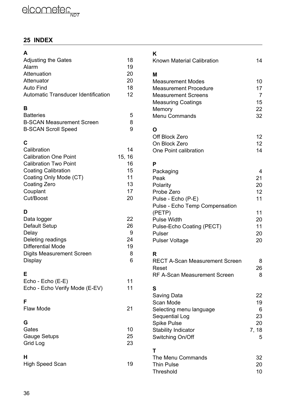# **25 INDEX**

| A                                   |        |
|-------------------------------------|--------|
| Adjusting the Gates                 | 18     |
| Alarm                               | 19     |
| Attenuation                         | 20     |
| Attenuator                          | 20     |
| Auto Find                           | 18     |
| Automatic Transducer Identification | 12     |
| B                                   |        |
| <b>Batteries</b>                    | 5      |
| <b>B-SCAN Measurement Screen</b>    | 8      |
| <b>B-SCAN Scroll Speed</b>          | 9      |
| C                                   |        |
| Calibration                         | 14     |
| <b>Calibration One Point</b>        | 15, 16 |
| <b>Calibration Two Point</b>        | 16     |
| <b>Coating Calibration</b>          | 15     |
| Coating Only Mode (CT)              | 11     |
| Coating Zero                        | 13     |
| Couplant                            | 17     |
| Cut/Boost                           | 20     |
| D                                   |        |
| Data logger                         | 22     |
| Default Setup                       | 26     |
| Delay                               | 9      |
| Deleting readings                   | 24     |
| <b>Differential Mode</b>            | 19     |
| Digits Measurement Screen           | 8      |
| Display                             | 6      |
| E                                   |        |
| Echo - Echo (E-E)                   | 11     |
| Echo - Echo Verify Mode (E-EV)      | 11     |
| F                                   |        |
| Flaw Mode                           | 21     |
| G                                   |        |
| Gates                               | 10     |
| Gauge Setups                        | 25     |
| Grid Log                            | 23     |
|                                     |        |
| н<br><b>High Speed Scan</b>         | 19     |
|                                     |        |

# $\mathbf{r}$

| ĸ<br>Known Material Calibration                                                                                                                                                            | 14                                                      |
|--------------------------------------------------------------------------------------------------------------------------------------------------------------------------------------------|---------------------------------------------------------|
| М<br>Measurement Modes<br><b>Measurement Procedure</b><br><b>Measurement Screens</b><br><b>Measuring Coatings</b><br>Memory<br>Menu Commands                                               | 10<br>17<br>7<br>15<br>22<br>32                         |
| Ο<br>Off Block Zero<br>On Block Zero<br>One Point calibration                                                                                                                              | 12<br>12<br>14                                          |
| P<br>Packaging<br>Peak<br>Polarity<br>Probe Zero<br>Pulse - Echo (P-E)<br>Pulse - Echo Temp Compensation<br>(PETP)<br>Pulse Width<br>Pulse-Echo Coating (PECT)<br>Pulser<br>Pulser Voltage | 4<br>21<br>20<br>12<br>11<br>11<br>20<br>11<br>20<br>20 |
| R<br>RECT A-Scan Measurement Screen<br>Reset<br>RF A-Scan Measurement Screen                                                                                                               | 8<br>26<br>8                                            |
| S<br>Saving Data<br>Scan Mode<br>Selecting menu language<br>Sequential Log<br><b>Spike Pulse</b><br>Stability Indicator<br>Switching On/Off                                                | 22<br>19<br>6<br>23<br>20<br>7, 18<br>5                 |
| Т<br>The Menu Commands<br><b>Thin Pulse</b><br>Threshold                                                                                                                                   | 32<br>20<br>10                                          |